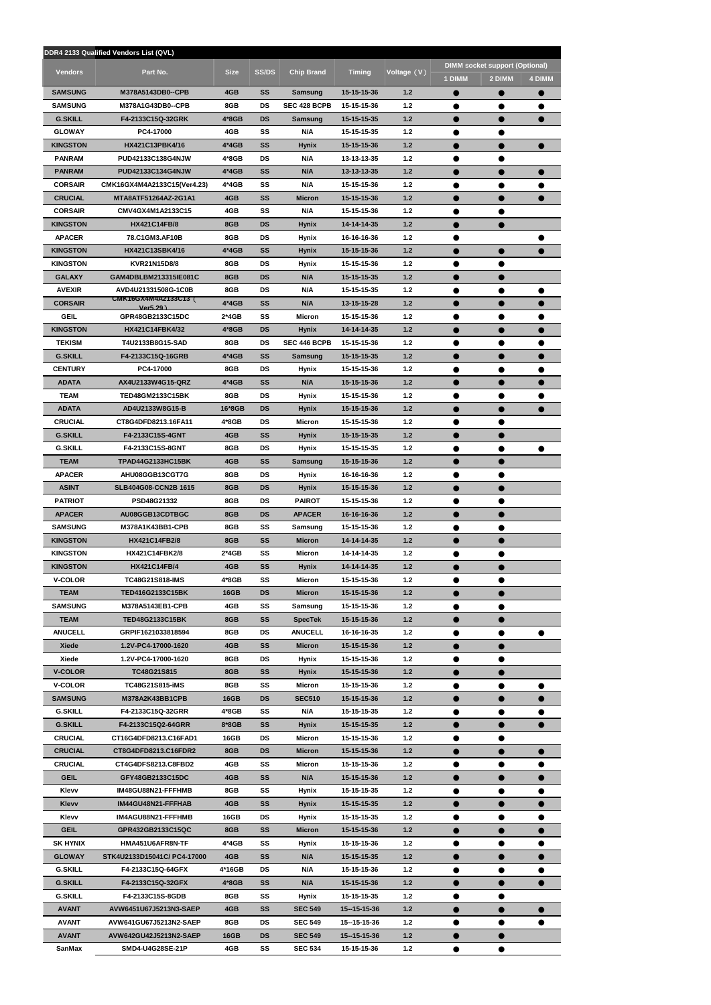|                                   | DDR4 2133 Qualified Vendors List (QVL)              |                      |                 |                          |                            |                |                        |                                                 |               |
|-----------------------------------|-----------------------------------------------------|----------------------|-----------------|--------------------------|----------------------------|----------------|------------------------|-------------------------------------------------|---------------|
| <b>Vendors</b>                    | Part No.                                            | <b>Size</b>          | <b>SS/DS</b>    | <b>Chip Brand</b>        | <b>Timing</b>              | Voltage (V)    | 1 DIMM                 | <b>DIMM socket support (Optional)</b><br>2 DIMM | <b>4 DIMM</b> |
| <b>SAMSUNG</b>                    | M378A5143DB0--CPB                                   | 4GB                  | SS              | Samsung                  | 15-15-15-36                | 1.2            |                        | $\bullet$                                       | $\bullet$     |
| <b>SAMSUNG</b>                    | M378A1G43DB0--CPB                                   | 8GB                  | <b>DS</b>       | <b>SEC 428 BCPB</b>      | 15-15-15-36                | $1.2$          |                        |                                                 |               |
| <b>G.SKILL</b>                    | F4-2133C15Q-32GRK                                   | $4*8GB$              | DS              | Samsung                  | 15-15-15-35                | $1.2$          |                        |                                                 |               |
| <b>GLOWAY</b>                     | PC4-17000                                           | 4GB                  | SS              | N/A                      | 15-15-15-35                | $1.2$          |                        |                                                 |               |
| <b>KINGSTON</b>                   | HX421C13PBK4/16                                     | $4*4GB$              | <b>SS</b>       | <b>Hynix</b>             | 15-15-15-36                | $1.2$          |                        |                                                 |               |
| <b>PANRAM</b>                     | <b>PUD42133C138G4NJW</b>                            | 4*8GB                | <b>DS</b>       | N/A                      | 13-13-13-35                | $1.2$          | $\bullet$              | ●                                               |               |
| <b>PANRAM</b>                     | <b>PUD42133C134G4NJW</b>                            | $4*4GB$              | <b>SS</b>       | N/A                      | 13-13-13-35                | $1.2$          |                        |                                                 |               |
| <b>CORSAIR</b><br><b>CRUCIAL</b>  | CMK16GX4M4A2133C15(Ver4.23)<br>MTA8ATF51264AZ-2G1A1 | 4*4GB<br>4GB         | SS<br>SS        | N/A<br><b>Micron</b>     | 15-15-15-36<br>15-15-15-36 | 1.2<br>1.2     | $\bullet$              |                                                 |               |
| <b>CORSAIR</b>                    | CMV4GX4M1A2133C15                                   | 4GB                  | SS              | N/A                      | 15-15-15-36                | $1.2$          |                        |                                                 |               |
| <b>KINGSTON</b>                   | <b>HX421C14FB/8</b>                                 | 8GB                  | <b>DS</b>       | Hynix                    | 14-14-14-35                | 1.2            |                        | $\bullet$                                       |               |
| <b>APACER</b>                     | 78.C1GM3.AF10B                                      | 8GB                  | <b>DS</b>       | <b>Hynix</b>             | 16-16-16-36                | $1.2$          | ●                      |                                                 |               |
| <b>KINGSTON</b>                   | HX421C13SBK4/16                                     | $4*4GB$              | SS              | <b>Hynix</b>             | 15-15-15-36                | $1.2$          |                        |                                                 |               |
| <b>KINGSTON</b>                   | KVR21N15D8/8                                        | 8GB                  | <b>DS</b>       | Hynix                    | 15-15-15-36                | $1.2$          |                        |                                                 |               |
| <b>GALAXY</b>                     | GAM4DBLBM213315IE081C                               | 8GB                  | <b>DS</b>       | N/A                      | 15-15-15-35                | $1.2$          |                        |                                                 |               |
| <b>AVEXIR</b>                     | AVD4U21331508G-1C0B                                 | 8GB                  | <b>DS</b>       | N/A                      | 15-15-15-35                | $1.2$          | $\bullet$              | $\bullet$                                       | $\bullet$     |
| <b>CORSAIR</b>                    | CMK16GX4M4A2133C13 (<br>Ver5.29)                    | $4*4GB$              | <b>SS</b>       | N/A                      | 13-15-15-28                | $1.2$          |                        |                                                 |               |
| <b>GEIL</b>                       | GPR48GB2133C15DC                                    | $2*4GB$              | SS              | Micron                   | 15-15-15-36                | 1.2            | ●                      |                                                 |               |
| <b>KINGSTON</b>                   | HX421C14FBK4/32                                     | $4*8GB$              | <b>DS</b>       | <b>Hynix</b>             | 14-14-14-35                | $1.2$          |                        |                                                 |               |
| <b>TEKISM</b>                     | T4U2133B8G15-SAD                                    | 8GB                  | <b>DS</b>       | SEC 446 BCPB             | 15-15-15-36                | $1.2$          |                        |                                                 |               |
| <b>G.SKILL</b>                    | F4-2133C15Q-16GRB                                   | $4*4GB$              | SS              | Samsung                  | 15-15-15-35                | 1.2            | $\bullet$              | $\bullet$                                       | $\bullet$     |
| <b>CENTURY</b><br><b>ADATA</b>    | PC4-17000<br>AX4U2133W4G15-QRZ                      | 8GB<br>$4*4GB$       | <b>DS</b><br>SS | Hynix<br>N/A             | 15-15-15-36<br>15-15-15-36 | $1.2$<br>$1.2$ | $\bullet$              | $\bullet$                                       |               |
| <b>TEAM</b>                       | TED48GM2133C15BK                                    | 8GB                  | <b>DS</b>       | Hynix                    | 15-15-15-36                | $1.2$          |                        |                                                 |               |
| <b>ADATA</b>                      | AD4U2133W8G15-B                                     | 16*8GB               | <b>DS</b>       | <b>Hynix</b>             | 15-15-15-36                | $1.2$          |                        |                                                 |               |
| <b>CRUCIAL</b>                    | CT8G4DFD8213.16FA11                                 | 4*8GB                | DS              | Micron                   | 15-15-15-36                | $1.2$          |                        |                                                 |               |
| <b>G.SKILL</b>                    | F4-2133C15S-4GNT                                    | 4GB                  | <b>SS</b>       | <b>Hynix</b>             | 15-15-15-35                | $1.2$          |                        |                                                 |               |
| <b>G.SKILL</b>                    | F4-2133C15S-8GNT                                    | 8GB                  | <b>DS</b>       | <b>Hynix</b>             | 15-15-15-35                | $1.2$          |                        |                                                 |               |
| <b>TEAM</b>                       | <b>TPAD44G2133HC15BK</b>                            | 4GB                  | <b>SS</b>       | Samsung                  | 15-15-15-36                | $1.2$          |                        |                                                 |               |
| <b>APACER</b>                     | AHU08GGB13CGT7G                                     | 8GB                  | <b>DS</b>       | Hynix                    | 16-16-16-36                | $1.2$          |                        |                                                 |               |
| <b>ASINT</b>                      | SLB404G08-CCN2B 1615                                | 8GB                  | <b>DS</b>       | <b>Hynix</b>             | 15-15-15-36                | $1.2$          | $\bullet$              | $\bullet$                                       |               |
| <b>PATRIOT</b>                    | PSD48G21332                                         | 8GB                  | DS              | PAIROT                   | 15-15-15-36                | $1.2$          |                        |                                                 |               |
| <b>APACER</b>                     | AU08GGB13CDTBGC                                     | 8GB                  | DS              | <b>APACER</b>            | 16-16-16-36                | 1.2            |                        |                                                 |               |
| <b>SAMSUNG</b><br><b>KINGSTON</b> | M378A1K43BB1-CPB<br>HX421C14FB2/8                   | 8GB<br>8GB           | SS<br>SS        | Samsung<br><b>Micron</b> | 15-15-15-36<br>14-14-14-35 | $1.2$<br>$1.2$ |                        |                                                 |               |
| <b>KINGSTON</b>                   | HX421C14FBK2/8                                      | 2*4GB                | SS              | Micron                   | 14-14-14-35                | $1.2$          | $\bullet$              | ●                                               |               |
| <b>KINGSTON</b>                   | <b>HX421C14FB/4</b>                                 | 4GB                  | SS              | <b>Hynix</b>             | 14-14-14-35                | $1.2$          |                        |                                                 |               |
| <b>V-COLOR</b>                    | <b>TC48G21S818-IMS</b>                              | 4*8GB                | SS              | Micron                   | 15-15-15-36                | $1.2$          |                        |                                                 |               |
| <b>TEAM</b>                       | <b>TED416G2133C15BK</b>                             | <b>16GB</b>          | <b>DS</b>       | Micron                   | 15-15-15-36                | $1.2$          |                        |                                                 |               |
| <b>SAMSUNG</b>                    | M378A5143EB1-CPB                                    | 4GB                  | SS              | Samsung                  | 15-15-15-36                | $1.2$          |                        |                                                 |               |
| <b>TEAM</b>                       | <b>TED48G2133C15BK</b>                              | 8GB                  | <b>SS</b>       | <b>SpecTek</b>           | 15-15-15-36                | $1.2$          |                        |                                                 |               |
| <b>ANUCELL</b>                    | GRPIF1621033818594                                  | 8GB                  | DS              | <b>ANUCELL</b>           | 16-16-16-35                | $1.2$          |                        | $\bullet$                                       |               |
| <b>Xiede</b>                      | 1.2V-PC4-17000-1620                                 | 4GB                  | SS              | <b>Micron</b>            | 15-15-15-36                | 1.2            |                        |                                                 |               |
| Xiede                             | 1.2V-PC4-17000-1620                                 | 8GB                  | DS              | Hynix                    | 15-15-15-36                | $1.2$          | ●                      |                                                 |               |
| <b>V-COLOR</b>                    | TC48G21S815                                         | 8GB                  | <b>SS</b>       | <b>Hynix</b>             | 15-15-15-36                | $1.2$          |                        |                                                 |               |
| <b>V-COLOR</b>                    | <b>TC48G21S815-iMS</b>                              | 8GB                  | SS              | Micron                   | 15-15-15-36                | 1.2            | $\bullet$              | $\bullet$                                       |               |
| <b>SAMSUNG</b><br><b>G.SKILL</b>  | M378A2K43BB1CPB<br>F4-2133C15Q-32GRR                | <b>16GB</b><br>4*8GB | <b>DS</b><br>SS | <b>SEC510</b><br>N/A     | 15-15-15-36<br>15-15-15-35 | $1.2$<br>$1.2$ |                        |                                                 |               |
| <b>G.SKILL</b>                    | F4-2133C15Q2-64GRR                                  | 8*8GB                | SS              | Hynix                    | 15-15-15-35                | $1.2$          |                        |                                                 |               |
| <b>CRUCIAL</b>                    | CT16G4DFD8213.C16FAD1                               | 16GB                 | <b>DS</b>       | Micron                   | 15-15-15-36                | $1.2$          |                        |                                                 |               |
| <b>CRUCIAL</b>                    | CT8G4DFD8213.C16FDR2                                | 8GB                  | <b>DS</b>       | <b>Micron</b>            | 15-15-15-36                | $1.2$          |                        | $\bullet$                                       |               |
| <b>CRUCIAL</b>                    | CT4G4DFS8213.C8FBD2                                 | 4GB                  | SS              | Micron                   | 15-15-15-36                | $1.2$          |                        |                                                 |               |
| <b>GEIL</b>                       | GFY48GB2133C15DC                                    | 4GB                  | SS              | N/A                      | 15-15-15-36                | 1.2            |                        |                                                 |               |
| Klevv                             | IM48GU88N21-FFFHMB                                  | 8GB                  | SS              | Hynix                    | 15-15-15-35                | $1.2$          |                        |                                                 |               |
| <b>Klevv</b>                      | IM44GU48N21-FFFHAB                                  | 4GB                  | SS              | <b>Hynix</b>             | 15-15-15-35                | $1.2$          |                        |                                                 |               |
| Klevv                             | IM4AGU88N21-FFFHMB                                  | 16GB                 | DS              | Hynix                    | 15-15-15-35                | $1.2$          | $\bullet$              | $\bullet$                                       |               |
| <b>GEIL</b>                       | GPR432GB2133C15QC                                   | 8GB                  | SS              | Micron                   | 15-15-15-36                | $1.2$          | $\bullet$              | $\bullet$                                       |               |
| <b>SK HYNIX</b>                   | HMA451U6AFR8N-TF                                    | 4*4GB                | SS              | <b>Hynix</b>             | 15-15-15-36                | $1.2$          | $\bullet$              | $\bullet$                                       |               |
| <b>GLOWAY</b>                     | STK4U2133D15041C/ PC4-17000                         | 4GB                  | <b>SS</b>       | N/A                      | 15-15-15-35                | $1.2$          |                        |                                                 |               |
| <b>G.SKILL</b><br><b>G.SKILL</b>  | F4-2133C15Q-64GFX<br>F4-2133C15Q-32GFX              | 4*16GB<br>4*8GB      | DS<br>SS        | N/A<br>N/A               | 15-15-15-36<br>15-15-15-36 | $1.2$<br>$1.2$ |                        |                                                 |               |
| <b>G.SKILL</b>                    | F4-2133C15S-8GDB                                    | 8GB                  | SS              | Hynix                    | 15-15-15-35                | $1.2$          | $\bullet$<br>$\bullet$ | $\bullet$                                       | $\bullet$     |
| <b>AVANT</b>                      | AVW6451U67J5213N3-SAEP                              | 4GB                  | SS              | <b>SEC 549</b>           | 15--15-15-36               | $1.2$          | $\bullet$              |                                                 |               |
| <b>AVANT</b>                      | AVW641GU67J5213N2-SAEP                              | 8GB                  | DS              | <b>SEC 549</b>           | 15--15-15-36               | $1.2$          | $\bullet$              |                                                 |               |
| <b>AVANT</b>                      | AVW642GU42J5213N2-SAEP                              | <b>16GB</b>          | <b>DS</b>       | <b>SEC 549</b>           | 15--15-15-36               | $1.2$          | $\bullet$              |                                                 |               |
| SanMax                            | SMD4-U4G28SE-21P                                    | 4GB                  | SS              | <b>SEC 534</b>           | 15-15-15-36                | $1.2$          | $\bullet$              | $\bullet$                                       |               |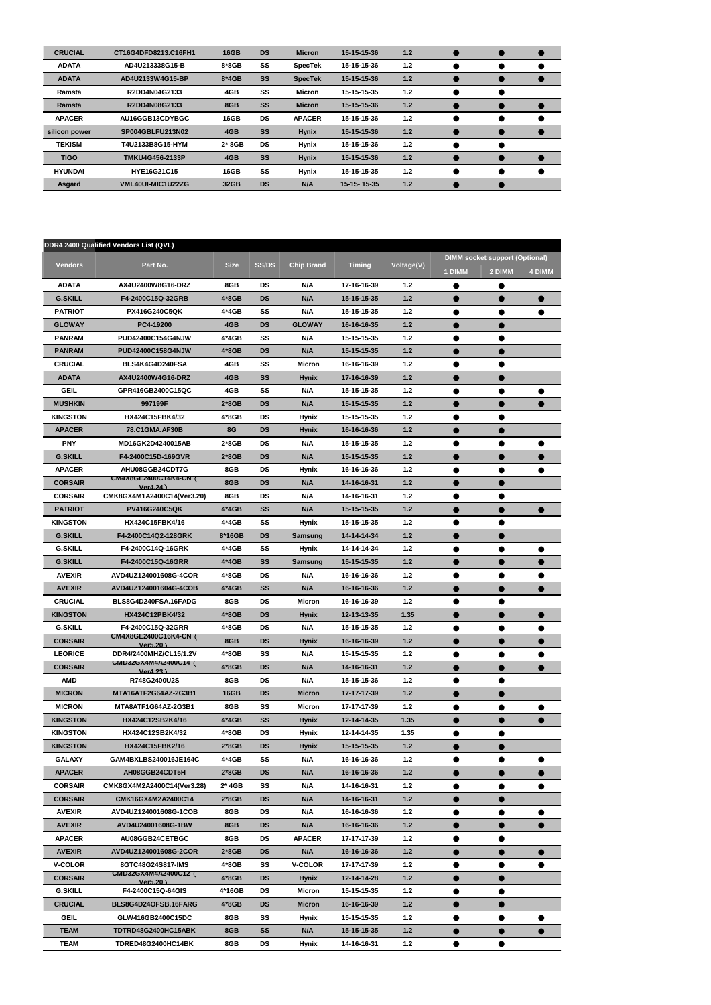| <b>CRUCIAL</b> | CT16G4DFD8213.C16FH1 | <b>16GB</b> | <b>DS</b> | <b>Micron</b>  | 15-15-15-36 | 1.2 |  |  |
|----------------|----------------------|-------------|-----------|----------------|-------------|-----|--|--|
| <b>ADATA</b>   | AD4U213338G15-B      | $8*8GB$     | SS        | <b>SpecTek</b> | 15-15-15-36 | 1.2 |  |  |
| <b>ADATA</b>   | AD4U2133W4G15-BP     | 8*4GB       | <b>SS</b> | <b>SpecTek</b> | 15-15-15-36 | 1.2 |  |  |
| Ramsta         | R2DD4N04G2133        | 4GB         | SS        | <b>Micron</b>  | 15-15-15-35 | 1.2 |  |  |
| Ramsta         | R2DD4N08G2133        | 8GB         | SS        | <b>Micron</b>  | 15-15-15-36 | 1.2 |  |  |
| <b>APACER</b>  | AU16GGB13CDYBGC      | 16GB        | <b>DS</b> | <b>APACER</b>  | 15-15-15-36 | 1.2 |  |  |
| silicon power  | SP004GBLFU213N02     | 4GB         | <b>SS</b> | <b>Hynix</b>   | 15-15-15-36 | 1.2 |  |  |
| <b>TEKISM</b>  | T4U2133B8G15-HYM     | $2*8GB$     | <b>DS</b> | <b>Hynix</b>   | 15-15-15-36 | 1.2 |  |  |
| <b>TIGO</b>    | TMKU4G456-2133P      | 4GB         | SS        | <b>Hynix</b>   | 15-15-15-36 | 1.2 |  |  |
| <b>HYUNDAI</b> | <b>HYE16G21C15</b>   | 16GB        | SS        | <b>Hynix</b>   | 15-15-15-35 | 1.2 |  |  |
| Asgard         | VML40UI-MIC1U22ZG    | 32GB        | <b>DS</b> | N/A            | 15-15-15-35 | 1.2 |  |  |

|                 | DDR4 2400 Qualified Vendors List (QVL)      |             |              |                   |               |            |           |                                                 |        |
|-----------------|---------------------------------------------|-------------|--------------|-------------------|---------------|------------|-----------|-------------------------------------------------|--------|
| <b>Vendors</b>  | Part No.                                    | <b>Size</b> | <b>SS/DS</b> | <b>Chip Brand</b> | <b>Timing</b> | Voltage(V) | 1 DIMM    | <b>DIMM socket support (Optional)</b><br>2 DIMM | 4 DIMM |
| <b>ADATA</b>    | AX4U2400W8G16-DRZ                           | 8GB         | <b>DS</b>    | N/A               | 17-16-16-39   | $1.2$      | ●         | $\bullet$                                       |        |
| <b>G.SKILL</b>  | F4-2400C15Q-32GRB                           | 4*8GB       | <b>DS</b>    | N/A               | 15-15-15-35   | $1.2$      | $\bullet$ | $\bullet$                                       |        |
| <b>PATRIOT</b>  | <b>PX416G240C5QK</b>                        | 4*4GB       | SS           | N/A               | 15-15-15-35   | $1.2$      | ●         | $\bullet$                                       |        |
| <b>GLOWAY</b>   | PC4-19200                                   | 4GB         | <b>DS</b>    | <b>GLOWAY</b>     | 16-16-16-35   | 1.2        | Ð         |                                                 |        |
| <b>PANRAM</b>   | PUD42400C154G4NJW                           | 4*4GB       | SS           | N/A               | 15-15-15-35   | $1.2$      |           | $\bullet$                                       |        |
| <b>PANRAM</b>   | PUD42400C158G4NJW                           | 4*8GB       | <b>DS</b>    | N/A               | 15-15-15-35   | $1.2$      |           |                                                 |        |
| <b>CRUCIAL</b>  | BLS4K4G4D240FSA                             | 4GB         | SS           | Micron            | 16-16-16-39   | $1.2$      | ●         | ●                                               |        |
| <b>ADATA</b>    | AX4U2400W4G16-DRZ                           | 4GB         | <b>SS</b>    | <b>Hynix</b>      | 17-16-16-39   | $1.2$      | Ð         | $\bullet$                                       |        |
| <b>GEIL</b>     | GPR416GB2400C15QC                           | 4GB         | SS           | N/A               | 15-15-15-35   | $1.2$      | ●         |                                                 |        |
| <b>MUSHKIN</b>  | 997199F                                     | $2*8GB$     | <b>DS</b>    | N/A               | 15-15-15-35   | $1.2$      |           |                                                 |        |
| <b>KINGSTON</b> | HX424C15FBK4/32                             | 4*8GB       | <b>DS</b>    | <b>Hynix</b>      | 15-15-15-35   | $1.2$      |           |                                                 |        |
| <b>APACER</b>   | 78.C1GMA.AF30B                              | 8G          | <b>DS</b>    | <b>Hynix</b>      | 16-16-16-36   | $1.2$      | $\bullet$ | $\bullet$                                       |        |
| <b>PNY</b>      | MD16GK2D4240015AB                           | $2*8GB$     | <b>DS</b>    | N/A               | 15-15-15-35   | $1.2$      | $\bullet$ | $\bullet$                                       |        |
| <b>G.SKILL</b>  | F4-2400C15D-169GVR                          | $2*8GB$     | <b>DS</b>    | N/A               | 15-15-15-35   | 1.2        | 0         | ●                                               |        |
| <b>APACER</b>   | AHU08GGB24CDT7G                             | 8GB         | DS           | <b>Hynix</b>      | 16-16-16-36   | $1.2$      | ●         | $\bullet$                                       |        |
| <b>CORSAIR</b>  | <b>CM4X8GE2400C14K4-CN (</b><br>Ver4.24)    | 8GB         | <b>DS</b>    | N/A               | 14-16-16-31   | $1.2$      | ●         | O                                               |        |
| <b>CORSAIR</b>  | CMK8GX4M1A2400C14(Ver3.20)                  | 8GB         | <b>DS</b>    | N/A               | 14-16-16-31   | $1.2$      | ●         | ●                                               |        |
| <b>PATRIOT</b>  | <b>PV416G240C5QK</b>                        | $4*4GB$     | <b>SS</b>    | N/A               | 15-15-15-35   | $1.2$      | Ð         | ●                                               |        |
| <b>KINGSTON</b> | HX424C15FBK4/16                             | 4*4GB       | SS           | Hynix             | 15-15-15-35   | $1.2$      | ●         | $\bullet$                                       |        |
| <b>G.SKILL</b>  | F4-2400C14Q2-128GRK                         | 8*16GB      | <b>DS</b>    | Samsung           | 14-14-14-34   | $1.2$      |           |                                                 |        |
| <b>G.SKILL</b>  | F4-2400C14Q-16GRK                           | 4*4GB       | SS           | <b>Hynix</b>      | 14-14-14-34   | $1.2$      |           |                                                 |        |
| <b>G.SKILL</b>  | F4-2400C15Q-16GRR                           | 4*4GB       | <b>SS</b>    | Samsung           | 15-15-15-35   | $1.2$      | ●         | $\bullet$                                       |        |
| <b>AVEXIR</b>   | AVD4UZ124001608G-4COR                       | $4*8GB$     | <b>DS</b>    | N/A               | 16-16-16-36   | $1.2$      | $\bullet$ | $\bullet$                                       |        |
| <b>AVEXIR</b>   | AVD4UZ124001604G-4COB                       | $4*4GB$     | SS           | N/A               | 16-16-16-36   | 1.2        | D         |                                                 |        |
| <b>CRUCIAL</b>  | BLS8G4D240FSA.16FADG                        | 8GB         | DS           | <b>Micron</b>     | 16-16-16-39   | $1.2$      |           |                                                 |        |
| <b>KINGSTON</b> | HX424C12PBK4/32                             | $4*8GB$     | <b>DS</b>    | <b>Hynix</b>      | 12-13-13-35   | 1.35       | ◚         |                                                 |        |
| <b>G.SKILL</b>  | F4-2400C15Q-32GRR                           | 4*8GB       | DS           | N/A               | 15-15-15-35   | 1.2        | ●         |                                                 |        |
| <b>CORSAIR</b>  | <b>CM4X8GE2400C16K4-CN (</b>                | 8GB         | <b>DS</b>    | <b>Hynix</b>      | 16-16-16-39   | $1.2$      | 0         | $\bullet$                                       |        |
| <b>LEORICE</b>  | Ver5.20)<br>DDR4/2400MHZ/CL15/1.2V          | 4*8GB       | SS           | N/A               | 15-15-15-35   | 1.2        | 0         |                                                 |        |
| <b>CORSAIR</b>  | CMD32GX4M4A2400C14(                         | $4*8GB$     | <b>DS</b>    | N/A               | 14-16-16-31   | $1.2$      |           |                                                 |        |
| AMD             | Ver4.23)<br>R748G2400U2S                    | 8GB         | <b>DS</b>    | N/A               | 15-15-15-36   | $1.2$      |           | $\bullet$                                       |        |
| <b>MICRON</b>   | MTA16ATF2G64AZ-2G3B1                        | 16GB        | <b>DS</b>    | <b>Micron</b>     | 17-17-17-39   | $1.2$      |           | $\bullet$                                       |        |
| <b>MICRON</b>   | MTA8ATF1G64AZ-2G3B1                         | 8GB         | SS           | Micron            | 17-17-17-39   | $1.2$      |           | $\bullet$                                       |        |
| <b>KINGSTON</b> | HX424C12SB2K4/16                            | 4*4GB       | SS           | Hynix             | 12-14-14-35   | 1.35       | $\bullet$ | $\bullet$                                       |        |
| <b>KINGSTON</b> | HX424C12SB2K4/32                            | 4*8GB       | <b>DS</b>    | <b>Hynix</b>      | 12-14-14-35   | 1.35       |           |                                                 |        |
| <b>KINGSTON</b> | HX424C15FBK2/16                             | $2*8GB$     | <b>DS</b>    | <b>Hynix</b>      | 15-15-15-35   | $1.2$      |           |                                                 |        |
| <b>GALAXY</b>   | GAM4BXLBS240016JE164C                       | 4*4GB       | SS           | N/A               | 16-16-16-36   | $1.2$      |           | $\bullet$                                       |        |
| <b>APACER</b>   | AH08GGB24CDT5H                              | $2*8GB$     | <b>DS</b>    | N/A               | 16-16-16-36   | $1.2$      | D         | $\bullet$                                       |        |
| <b>CORSAIR</b>  | CMK8GX4M2A2400C14(Ver3.28)                  | $2*4GB$     | SS           | N/A               | 14-16-16-31   | 1.2        |           |                                                 |        |
| <b>CORSAIR</b>  | CMK16GX4M2A2400C14                          | $2*8GB$     | <b>DS</b>    | N/A               | 14-16-16-31   | $1.2$      |           | O                                               |        |
| <b>AVEXIR</b>   | AVD4UZ124001608G-1COB                       | 8GB         | DS           | N/A               | 16-16-16-36   | $1.2$      |           |                                                 |        |
| <b>AVEXIR</b>   | AVD4U24001608G-1BW                          | 8GB         | <b>DS</b>    | N/A               | 16-16-16-36   | $1.2$      |           | $\bullet$                                       |        |
| <b>APACER</b>   | AU08GGB24CETBGC                             | 8GB         | DS           | <b>APACER</b>     | 17-17-17-39   | $1.2$      | $\bullet$ | $\bullet$                                       |        |
| <b>AVEXIR</b>   | AVD4UZ124001608G-2COR                       | $2*8GB$     | <b>DS</b>    | N/A               | 16-16-16-36   | $1.2$      | 0         | $\bullet$                                       |        |
| <b>V-COLOR</b>  | 8GTC48G24S817-IMS                           | 4*8GB       | SS           | <b>V-COLOR</b>    | 17-17-17-39   | $1.2$      |           |                                                 |        |
| <b>CORSAIR</b>  | <b>CMD32GX4M4A2400C12 (</b><br>Ver $5.20$ ) | 4*8GB       | <b>DS</b>    | <b>Hynix</b>      | 12-14-14-28   | $1.2$      |           |                                                 |        |
| <b>G.SKILL</b>  | F4-2400C15Q-64GIS                           | 4*16GB      | DS           | Micron            | 15-15-15-35   | $1.2$      |           |                                                 |        |
| <b>CRUCIAL</b>  | BLS8G4D24OFSB.16FARG                        | 4*8GB       | <b>DS</b>    | Micron            | 16-16-16-39   | $1.2$      | 0         | $\bullet$                                       |        |
| <b>GEIL</b>     | GLW416GB2400C15DC                           | 8GB         | SS           | Hynix             | 15-15-15-35   | 1.2        | $\bullet$ | $\bullet$                                       |        |
| <b>TEAM</b>     | TDTRD48G2400HC15ABK                         | 8GB         | <b>SS</b>    | N/A               | 15-15-15-35   | $1.2$      |           | 0                                               |        |
| <b>TEAM</b>     | TDRED48G2400HC14BK                          | 8GB         | DS           | Hynix             | 14-16-16-31   | $1.2$      |           | $\bullet$                                       |        |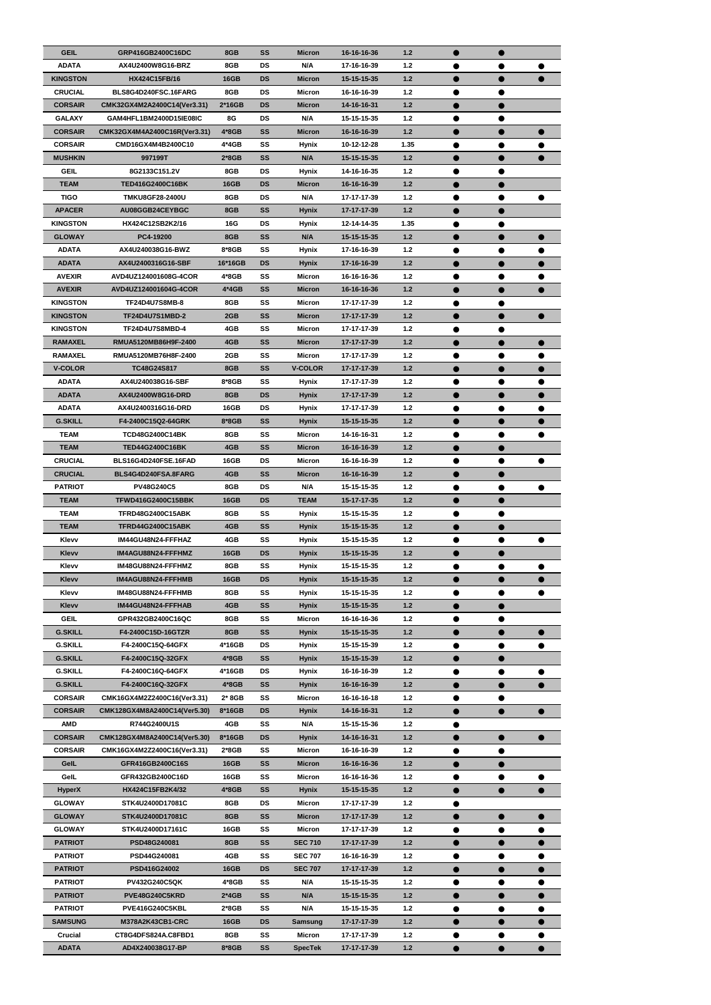| <b>GEIL</b>     | GRP416GB2400C16DC            | 8GB         | SS        | <b>Micron</b>  | 16-16-16-36 | 1.2   | $\bullet$ | $\bullet$ |   |
|-----------------|------------------------------|-------------|-----------|----------------|-------------|-------|-----------|-----------|---|
| <b>ADATA</b>    | AX4U2400W8G16-BRZ            | 8GB         | <b>DS</b> | N/A            | 17-16-16-39 | 1.2   |           |           |   |
|                 |                              |             |           |                |             |       |           |           |   |
| <b>KINGSTON</b> | HX424C15FB/16                | <b>16GB</b> | <b>DS</b> | <b>Micron</b>  | 15-15-15-35 | $1.2$ | ●         |           |   |
| <b>CRUCIAL</b>  | BLS8G4D240FSC.16FARG         | 8GB         | <b>DS</b> | Micron         | 16-16-16-39 | $1.2$ | 0         |           |   |
| <b>CORSAIR</b>  | CMK32GX4M2A2400C14(Ver3.31)  | $2*16GB$    | <b>DS</b> | <b>Micron</b>  | 14-16-16-31 | $1.2$ |           | ●         |   |
| <b>GALAXY</b>   | GAM4HFL1BM2400D15IE08IC      | 8G          | <b>DS</b> | N/A            | 15-15-15-35 | 1.2   | $\bullet$ | $\bullet$ |   |
|                 |                              |             |           |                |             |       |           |           |   |
| <b>CORSAIR</b>  | CMK32GX4M4A2400C16R(Ver3.31) | 4*8GB       | <b>SS</b> | <b>Micron</b>  | 16-16-16-39 | $1.2$ |           | $\bullet$ |   |
| <b>CORSAIR</b>  | CMD16GX4M4B2400C10           | 4*4GB       | SS        | <b>Hynix</b>   | 10-12-12-28 | 1.35  | ●         | $\bullet$ |   |
| <b>MUSHKIN</b>  | 997199T                      | $2*8GB$     | SS        | N/A            | 15-15-15-35 | $1.2$ |           | $\bullet$ |   |
| <b>GEIL</b>     | 8G2133C151.2V                | 8GB         | <b>DS</b> | <b>Hynix</b>   | 14-16-16-35 | $1.2$ |           |           |   |
|                 |                              |             |           |                |             |       |           |           |   |
| <b>TEAM</b>     | <b>TED416G2400C16BK</b>      | <b>16GB</b> | <b>DS</b> | <b>Micron</b>  | 16-16-16-39 | 1.2   | $\bullet$ | $\bullet$ |   |
| <b>TIGO</b>     | <b>TMKU8GF28-2400U</b>       | 8GB         | <b>DS</b> | N/A            | 17-17-17-39 | $1.2$ | 0         | $\bullet$ |   |
| <b>APACER</b>   | AU08GGB24CEYBGC              | 8GB         | SS        | <b>Hynix</b>   | 17-17-17-39 | $1.2$ |           |           |   |
|                 |                              |             |           |                |             |       |           |           |   |
| <b>KINGSTON</b> | HX424C12SB2K2/16             | 16G         | <b>DS</b> | Hynix          | 12-14-14-35 | 1.35  | 0         |           |   |
| <b>GLOWAY</b>   | PC4-19200                    | 8GB         | SS        | N/A            | 15-15-15-35 | $1.2$ |           | ●         |   |
| <b>ADATA</b>    | AX4U240038G16-BWZ            | 8*8GB       | SS        | Hynix          | 17-16-16-39 | 1.2   | $\bullet$ | $\bullet$ |   |
|                 |                              |             |           |                |             |       |           |           |   |
| <b>ADATA</b>    | AX4U2400316G16-SBF           | 16*16GB     | <b>DS</b> | <b>Hynix</b>   | 17-16-16-39 | $1.2$ |           | $\bullet$ |   |
| <b>AVEXIR</b>   | AVD4UZ124001608G-4COR        | 4*8GB       | SS        | Micron         | 16-16-16-36 | 1.2   | ●         | ●         |   |
| <b>AVEXIR</b>   | AVD4UZ124001604G-4COR        | 4*4GB       | SS        | <b>Micron</b>  | 16-16-16-36 | $1.2$ |           |           |   |
|                 |                              |             |           |                |             |       |           |           |   |
| <b>KINGSTON</b> | <b>TF24D4U7S8MB-8</b>        | 8GB         | SS        | Micron         | 17-17-17-39 | $1.2$ |           |           |   |
| <b>KINGSTON</b> | <b>TF24D4U7S1MBD-2</b>       | 2GB         | <b>SS</b> | <b>Micron</b>  | 17-17-17-39 | 1.2   | $\bullet$ | $\bullet$ | ∍ |
| <b>KINGSTON</b> | <b>TF24D4U7S8MBD-4</b>       | 4GB         | SS        | Micron         | 17-17-17-39 | 1.2   |           |           |   |
|                 |                              |             |           |                |             |       |           |           |   |
| <b>RAMAXEL</b>  | RMUA5120MB86H9F-2400         | 4GB         | SS        | <b>Micron</b>  | 17-17-17-39 | $1.2$ | ●         |           |   |
| <b>RAMAXEL</b>  | RMUA5120MB76H8F-2400         | 2GB         | SS        | Micron         | 17-17-17-39 | $1.2$ | 0         | $\bullet$ |   |
| <b>V-COLOR</b>  | TC48G24S817                  | 8GB         | SS        | <b>V-COLOR</b> | 17-17-17-39 | $1.2$ |           | ●         |   |
| <b>ADATA</b>    | AX4U240038G16-SBF            | 8*8GB       | SS        | <b>Hynix</b>   | 17-17-17-39 | $1.2$ | $\bullet$ | $\bullet$ |   |
|                 |                              |             |           |                |             |       |           |           | 0 |
| <b>ADATA</b>    | AX4U2400W8G16-DRD            | 8GB         | <b>DS</b> | <b>Hynix</b>   | 17-17-17-39 | 1.2   |           |           |   |
| <b>ADATA</b>    | AX4U2400316G16-DRD           | 16GB        | <b>DS</b> | <b>Hynix</b>   | 17-17-17-39 | 1.2   |           |           |   |
| <b>G.SKILL</b>  | F4-2400C15Q2-64GRK           | 8*8GB       | SS        | Hynix          | 15-15-15-35 | 1.2   |           |           |   |
|                 |                              |             |           |                |             |       |           |           |   |
| <b>TEAM</b>     | <b>TCD48G2400C14BK</b>       | 8GB         | SS        | <b>Micron</b>  | 14-16-16-31 | $1.2$ |           |           |   |
| <b>TEAM</b>     | <b>TED44G2400C16BK</b>       | 4GB         | <b>SS</b> | <b>Micron</b>  | 16-16-16-39 | 1.2   | 0         | $\bullet$ |   |
| <b>CRUCIAL</b>  | BLS16G4D240FSE.16FAD         | 16GB        | <b>DS</b> | Micron         | 16-16-16-39 | $1.2$ | ●         | $\bullet$ |   |
|                 |                              |             |           |                |             |       |           |           |   |
| <b>CRUCIAL</b>  | BLS4G4D240FSA.8FARG          | 4GB         | <b>SS</b> | <b>Micron</b>  | 16-16-16-39 | 1.2   | ●         | $\bullet$ |   |
| <b>PATRIOT</b>  | <b>PV48G240C5</b>            | 8GB         | <b>DS</b> | N/A            | 15-15-15-35 | $1.2$ | $\bullet$ | $\bullet$ |   |
| <b>TEAM</b>     | TFWD416G2400C15BBK           | <b>16GB</b> | <b>DS</b> | <b>TEAM</b>    | 15-17-17-35 | 1.2   |           | $\bullet$ |   |
|                 |                              |             |           |                |             |       |           |           |   |
| TEAM            | <b>TFRD48G2400C15ABK</b>     | 8GB         | SS        | <b>Hynix</b>   | 15-15-15-35 | 1.2   | $\bullet$ | $\bullet$ |   |
| <b>TEAM</b>     | <b>TFRD44G2400C15ABK</b>     | 4GB         | SS        | <b>Hynix</b>   | 15-15-15-35 | 1.2   |           |           |   |
| Klevv           | IM44GU48N24-FFFHAZ           | 4GB         | SS        | <b>Hynix</b>   | 15-15-15-35 | 1.2   | $\bullet$ |           |   |
|                 |                              |             |           |                |             |       |           |           |   |
| Klevv           | IM4AGU88N24-FFFHMZ           | <b>16GB</b> | <b>DS</b> | <b>Hynix</b>   | 15-15-15-35 | $1.2$ | 0         | $\bullet$ |   |
| Klevv           | IM48GU88N24-FFFHMZ           | 8GB         | SS        | <b>Hynix</b>   | 15-15-15-35 | 1.2   | $\bullet$ | $\bullet$ |   |
| <b>Klevv</b>    | IM4AGU88N24-FFFHMB           | <b>16GB</b> | <b>DS</b> | <b>Hynix</b>   | 15-15-15-35 | 1.2   | $\bullet$ | $\bullet$ |   |
| Klevv           | IM48GU88N24-FFFHMB           | 8GB         | SS        | <b>Hynix</b>   | 15-15-15-35 | $1.2$ |           |           |   |
|                 |                              |             |           |                |             |       | 0         | $\bullet$ |   |
| <b>Klevv</b>    | IM44GU48N24-FFFHAB           | 4GB         | <b>SS</b> | <b>Hynix</b>   | 15-15-15-35 | 1.2   | ●         | $\bullet$ |   |
| <b>GEIL</b>     | GPR432GB2400C16QC            | 8GB         | SS        | Micron         | 16-16-16-36 | $1.2$ |           |           |   |
| <b>G.SKILL</b>  | F4-2400C15D-16GTZR           | 8GB         | <b>SS</b> | <b>Hynix</b>   | 15-15-15-35 | 1.2   | 0         | $\bullet$ |   |
|                 |                              |             |           |                |             |       |           |           |   |
| <b>G.SKILL</b>  | F4-2400C15Q-64GFX            | 4*16GB      | DS        | <b>Hynix</b>   | 15-15-15-39 | $1.2$ | $\bullet$ | $\bullet$ | 0 |
| <b>G.SKILL</b>  | F4-2400C15Q-32GFX            | 4*8GB       | <b>SS</b> | <b>Hynix</b>   | 15-15-15-39 | $1.2$ |           |           |   |
| <b>G.SKILL</b>  | F4-2400C16Q-64GFX            | 4*16GB      | <b>DS</b> | <b>Hynix</b>   | 16-16-16-39 | $1.2$ | $\bullet$ |           |   |
| <b>G.SKILL</b>  | F4-2400C16Q-32GFX            | 4*8GB       | SS        | <b>Hynix</b>   | 16-16-16-39 | $1.2$ |           |           |   |
|                 |                              |             |           |                |             |       | D         | $\bullet$ |   |
| <b>CORSAIR</b>  | CMK16GX4M2Z2400C16(Ver3.31)  | 2* 8GB      | SS        | Micron         | 16-16-16-18 | $1.2$ | $\bullet$ | ●         |   |
| <b>CORSAIR</b>  | CMK128GX4M8A2400C14(Ver5.30) | 8*16GB      | <b>DS</b> | <b>Hynix</b>   | 14-16-16-31 | 1.2   | 0         | ●         |   |
| AMD             | R744G2400U1S                 | 4GB         | SS        | N/A            | 15-15-15-36 | $1.2$ | ●         |           |   |
|                 |                              |             |           |                |             |       |           |           |   |
| <b>CORSAIR</b>  | CMK128GX4M8A2400C14(Ver5.30) | 8*16GB      | <b>DS</b> | <b>Hynix</b>   | 14-16-16-31 | 1.2   | ●         | $\bullet$ |   |
| <b>CORSAIR</b>  | CMK16GX4M2Z2400C16(Ver3.31)  | 2*8GB       | SS        | Micron         | 16-16-16-39 | $1.2$ | 0         |           |   |
| GelL            | GFR416GB2400C16S             | <b>16GB</b> | <b>SS</b> | <b>Micron</b>  | 16-16-16-36 | 1.2   |           | $\bullet$ |   |
| GelL            | GFR432GB2400C16D             | 16GB        | SS        | Micron         | 16-16-16-36 | $1.2$ |           |           |   |
|                 |                              |             |           |                |             |       | $\bullet$ | $\bullet$ | D |
| <b>HyperX</b>   | HX424C15FB2K4/32             | 4*8GB       | SS        | <b>Hynix</b>   | 15-15-15-35 | $1.2$ |           |           |   |
| <b>GLOWAY</b>   | STK4U2400D17081C             | 8GB         | <b>DS</b> | <b>Micron</b>  | 17-17-17-39 | $1.2$ |           |           |   |
| <b>GLOWAY</b>   | STK4U2400D17081C             | 8GB         | SS        | <b>Micron</b>  | 17-17-17-39 | $1.2$ |           | $\bullet$ |   |
|                 |                              |             |           |                |             |       |           |           |   |
| <b>GLOWAY</b>   | STK4U2400D17161C             | 16GB        | SS        | Micron         | 17-17-17-39 | $1.2$ | D         | $\bullet$ |   |
| <b>PATRIOT</b>  | PSD48G240081                 | 8GB         | <b>SS</b> | <b>SEC 710</b> | 17-17-17-39 | $1.2$ | $\bullet$ | $\bullet$ |   |
| <b>PATRIOT</b>  | PSD44G240081                 | 4GB         | SS        | <b>SEC 707</b> | 16-16-16-39 | $1.2$ | $\bullet$ |           |   |
| <b>PATRIOT</b>  | PSD416G24002                 | <b>16GB</b> | <b>DS</b> | <b>SEC 707</b> | 17-17-17-39 | $1.2$ |           |           |   |
|                 |                              |             |           |                |             |       | D         |           |   |
| <b>PATRIOT</b>  | PV432G240C5QK                | 4*8GB       | SS        | N/A            | 15-15-15-35 | $1.2$ |           |           |   |
| <b>PATRIOT</b>  | PVE48G240C5KRD               | $2*4GB$     | <b>SS</b> | N/A            | 15-15-15-35 | $1.2$ |           | $\bullet$ |   |
| <b>PATRIOT</b>  | <b>PVE416G240C5KBL</b>       | 2*8GB       | SS        | N/A            | 15-15-15-35 | $1.2$ | $\bullet$ | $\bullet$ |   |
|                 |                              |             |           |                |             |       |           |           |   |
| <b>SAMSUNG</b>  | M378A2K43CB1-CRC             | <b>16GB</b> | <b>DS</b> | <b>Samsung</b> | 17-17-17-39 | $1.2$ |           | $\bullet$ |   |
| Crucial         | CT8G4DFS824A.C8FBD1          | 8GB         | SS        | <b>Micron</b>  | 17-17-17-39 | $1.2$ | $\bullet$ |           |   |
| <b>ADATA</b>    | AD4X240038G17-BP             | 8*8GB       | SS        | <b>SpecTek</b> | 17-17-17-39 | $1.2$ | $\bullet$ | $\bullet$ |   |
|                 |                              |             |           |                |             |       |           |           |   |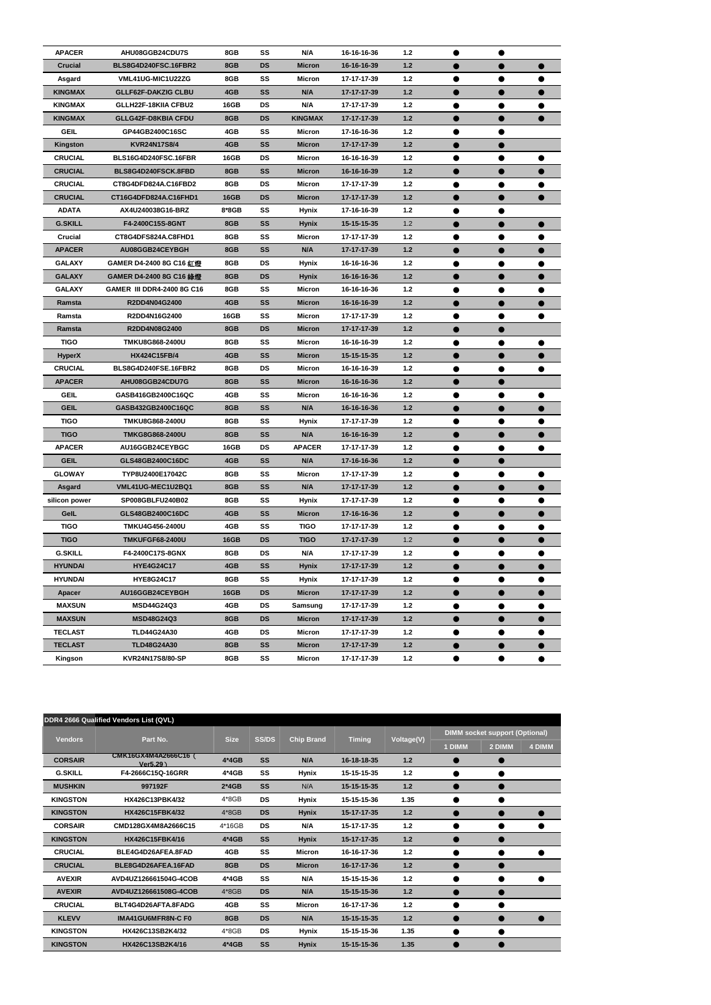| <b>APACER</b>                   | AHU08GGB24CDU7S                             | 8GB         | SS        | N/A                            | 16-16-16-36                | $1.2$ | $\bullet$ |                         |  |
|---------------------------------|---------------------------------------------|-------------|-----------|--------------------------------|----------------------------|-------|-----------|-------------------------|--|
| <b>Crucial</b>                  | BLS8G4D240FSC.16FBR2                        | 8GB         | <b>DS</b> | <b>Micron</b>                  | 16-16-16-39                | $1.2$ |           |                         |  |
| Asgard                          | VML41UG-MIC1U22ZG                           | 8GB         | SS        | Micron                         | 17-17-17-39                | $1.2$ | $\bullet$ | $\bullet$               |  |
| <b>KINGMAX</b>                  | <b>GLLF62F-DAKZIG CLBU</b>                  | 4GB         | SS        | N/A                            | 17-17-17-39                | $1.2$ |           |                         |  |
| <b>KINGMAX</b>                  | GLLH22F-18KIIA CFBU2                        | 16GB        | <b>DS</b> | N/A                            | 17-17-17-39                | $1.2$ |           |                         |  |
| <b>KINGMAX</b>                  | <b>GLLG42F-D8KBIA CFDU</b>                  | 8GB         | <b>DS</b> | <b>KINGMAX</b>                 | 17-17-17-39                | $1.2$ |           |                         |  |
| <b>GEIL</b>                     | GP44GB2400C16SC                             | 4GB         | SS        | <b>Micron</b>                  | 17-16-16-36                | $1.2$ |           |                         |  |
| Kingston                        | <b>KVR24N17S8/4</b>                         | 4GB         | <b>SS</b> | <b>Micron</b>                  | 17-17-17-39                | $1.2$ | $\bullet$ |                         |  |
| <b>CRUCIAL</b>                  | BLS16G4D240FSC.16FBR                        | <b>16GB</b> | <b>DS</b> | Micron                         | 16-16-16-39                | $1.2$ | $\bullet$ |                         |  |
| <b>CRUCIAL</b>                  | BLS8G4D240FSCK.8FBD                         | 8GB         | SS        | <b>Micron</b>                  | 16-16-16-39                | $1.2$ |           |                         |  |
| <b>CRUCIAL</b>                  | CT8G4DFD824A.C16FBD2                        | 8GB         | DS        | <b>Micron</b>                  | 17-17-17-39                | $1.2$ |           |                         |  |
| <b>CRUCIAL</b>                  | CT16G4DFD824A.C16FHD1                       | <b>16GB</b> | <b>DS</b> | <b>Micron</b>                  | 17-17-17-39                | $1.2$ | $\bullet$ |                         |  |
| <b>ADATA</b>                    | AX4U240038G16-BRZ                           | 8*8GB       | SS        | <b>Hynix</b>                   | 17-16-16-39                | $1.2$ | $\bullet$ |                         |  |
| <b>G.SKILL</b>                  | F4-2400C15S-8GNT                            | 8GB         | SS        | <b>Hynix</b>                   | 15-15-15-35                | 1.2   |           |                         |  |
| Crucial                         | CT8G4DFS824A.C8FHD1                         | 8GB         | SS        | <b>Micron</b>                  | 17-17-17-39                | $1.2$ |           |                         |  |
| <b>APACER</b>                   | AU08GGB24CEYBGH                             | 8GB         | SS        | N/A                            | 17-17-17-39                | $1.2$ |           |                         |  |
| <b>GALAXY</b>                   | GAMER D4-2400 8G C16 紅燈                     | 8GB         | <b>DS</b> | <b>Hynix</b>                   | 16-16-16-36                | $1.2$ | $\bullet$ |                         |  |
| <b>GALAXY</b>                   | GAMER D4-2400 8G C16 綠燈                     | 8GB         | <b>DS</b> | <b>Hynix</b>                   | 16-16-16-36                | $1.2$ | $\bullet$ | $\bullet$               |  |
| <b>GALAXY</b>                   | <b>GAMER III DDR4-2400 8G C16</b>           | 8GB         | SS        | <b>Micron</b>                  | 16-16-16-36                | $1.2$ | $\bullet$ |                         |  |
| Ramsta                          | R2DD4N04G2400                               | 4GB         | SS        | <b>Micron</b>                  | 16-16-16-39                | $1.2$ |           |                         |  |
| Ramsta                          | R2DD4N16G2400                               | 16GB        | SS        | <b>Micron</b>                  | 17-17-17-39                | $1.2$ |           |                         |  |
| Ramsta                          | R2DD4N08G2400                               | 8GB         | <b>DS</b> | <b>Micron</b>                  | 17-17-17-39                | 1.2   |           |                         |  |
| <b>TIGO</b>                     | <b>TMKU8G868-2400U</b>                      | 8GB         | SS        | <b>Micron</b>                  | 16-16-16-39                | $1.2$ | $\bullet$ | ●                       |  |
|                                 |                                             | 4GB         | <b>SS</b> |                                |                            | $1.2$ |           |                         |  |
| <b>HyperX</b><br><b>CRUCIAL</b> | <b>HX424C15FB/4</b><br>BLS8G4D240FSE.16FBR2 | 8GB         | DS        | <b>Micron</b><br><b>Micron</b> | 15-15-15-35<br>16-16-16-39 | $1.2$ |           |                         |  |
|                                 |                                             |             |           |                                |                            |       |           |                         |  |
| <b>APACER</b>                   | AHU08GGB24CDU7G                             | 8GB         | SS        | <b>Micron</b>                  | 16-16-16-36                | $1.2$ |           |                         |  |
| <b>GEIL</b>                     | GASB416GB2400C16QC                          | 4GB         | SS        | <b>Micron</b>                  | 16-16-16-36                | $1.2$ |           |                         |  |
| <b>GEIL</b>                     | GASB432GB2400C16QC                          | 8GB         | SS        | N/A                            | 16-16-16-36                | 1.2   | $\bullet$ |                         |  |
| <b>TIGO</b>                     | TMKU8G868-2400U                             | 8GB         | SS        | Hynix                          | 17-17-17-39                | $1.2$ |           |                         |  |
| <b>TIGO</b>                     | <b>TMKG8G868-2400U</b>                      | 8GB         | <b>SS</b> | N/A                            | 16-16-16-39                | 1.2   | $\bullet$ |                         |  |
| <b>APACER</b>                   | AU16GGB24CEYBGC                             | 16GB        | DS        | <b>APACER</b>                  | 17-17-17-39                | $1.2$ | ●         |                         |  |
| <b>GEIL</b>                     | GLS48GB2400C16DC                            | 4GB         | <b>SS</b> | N/A                            | 17-16-16-36                | $1.2$ |           |                         |  |
| <b>GLOWAY</b>                   | TYP8U2400E17042C                            | 8GB         | SS        | <b>Micron</b>                  | 17-17-17-39                | $1.2$ | $\bullet$ | $\bullet$               |  |
| Asgard                          | VML41UG-MEC1U2BQ1                           | 8GB         | <b>SS</b> | N/A                            | 17-17-17-39                | $1.2$ | $\bullet$ |                         |  |
| silicon power                   | SP008GBLFU240B02                            | 8GB         | SS        | <b>Hynix</b>                   | 17-17-17-39                | $1.2$ |           |                         |  |
| GelL                            | GLS48GB2400C16DC                            | 4GB         | <b>SS</b> | <b>Micron</b>                  | 17-16-16-36                | $1.2$ |           |                         |  |
| <b>TIGO</b>                     | <b>TMKU4G456-2400U</b>                      | 4GB         | SS        | <b>TIGO</b>                    | 17-17-17-39                | $1.2$ | ●         |                         |  |
| <b>TIGO</b>                     | <b>TMKUFGF68-2400U</b>                      | <b>16GB</b> | <b>DS</b> | <b>TIGO</b>                    | 17-17-17-39                | $1.2$ | $\bullet$ | $\qquad \qquad \bullet$ |  |
| <b>G.SKILL</b>                  | F4-2400C17S-8GNX                            | 8GB         | DS        | N/A                            | 17-17-17-39                | $1.2$ | $\bullet$ | $\bullet$               |  |
| <b>HYUNDAI</b>                  | <b>HYE4G24C17</b>                           | 4GB         | SS        | <b>Hynix</b>                   | 17-17-17-39                | $1.2$ | $\bullet$ |                         |  |
| <b>HYUNDAI</b>                  | HYE8G24C17                                  | 8GB         | SS        | <b>Hynix</b>                   | 17-17-17-39                | $1.2$ |           |                         |  |
| Apacer                          | AU16GGB24CEYBGH                             | <b>16GB</b> | <b>DS</b> | <b>Micron</b>                  | 17-17-17-39                | $1.2$ |           |                         |  |
| <b>MAXSUN</b>                   | <b>MSD44G24Q3</b>                           | 4GB         | DS        | Samsung                        | 17-17-17-39                | $1.2$ | $\bullet$ | $\bullet$               |  |
| <b>MAXSUN</b>                   | <b>MSD48G24Q3</b>                           | 8GB         | <b>DS</b> | <b>Micron</b>                  | 17-17-17-39                | $1.2$ | $\bullet$ |                         |  |
| <b>TECLAST</b>                  | <b>TLD44G24A30</b>                          | 4GB         | <b>DS</b> | <b>Micron</b>                  | 17-17-17-39                | $1.2$ |           |                         |  |
| <b>TECLAST</b>                  | <b>TLD48G24A30</b>                          | 8GB         | <b>SS</b> | <b>Micron</b>                  | 17-17-17-39                | $1.2$ | $\bullet$ | $\bullet$               |  |
| Kingson                         | KVR24N17S8/80-SP                            | 8GB         | SS        | <b>Micron</b>                  | 17-17-17-39                | $1.2$ |           |                         |  |
|                                 |                                             |             |           |                                |                            |       |           |                         |  |

|                 | DDR4 2666 Qualified Vendors List (QVL) |             |              |                   |               |            |           |                                       |        |
|-----------------|----------------------------------------|-------------|--------------|-------------------|---------------|------------|-----------|---------------------------------------|--------|
| <b>Vendors</b>  | Part No.                               | <b>Size</b> |              |                   |               |            |           | <b>DIMM socket support (Optional)</b> |        |
|                 |                                        |             | <b>SS/DS</b> | <b>Chip Brand</b> | <b>Timing</b> | Voltage(V) | 1 DIMM    | 2 DIMM                                | 4 DIMM |
| <b>CORSAIR</b>  | CMK16GX4M4A2666C16 (<br>Ver $5.29$ )   | $4*4GB$     | <b>SS</b>    | N/A               | 16-18-18-35   | 1.2        |           |                                       |        |
| <b>G.SKILL</b>  | F4-2666C15Q-16GRR                      | $4*4GB$     | SS           | <b>Hynix</b>      | 15-15-15-35   | 1.2        | $\bullet$ |                                       |        |
| <b>MUSHKIN</b>  | 997192F                                | $2*4GB$     | <b>SS</b>    | N/A               | 15-15-15-35   | 1.2        | $\bullet$ |                                       |        |
| <b>KINGSTON</b> | HX426C13PBK4/32                        | $4*8GB$     | <b>DS</b>    | <b>Hynix</b>      | 15-15-15-36   | 1.35       | $\bullet$ |                                       |        |
| <b>KINGSTON</b> | HX426C15FBK4/32                        | $4*8GB$     | <b>DS</b>    | <b>Hynix</b>      | 15-17-17-35   | 1.2        |           |                                       |        |
| <b>CORSAIR</b>  | CMD128GX4M8A2666C15                    | 4*16GB      | <b>DS</b>    | N/A               | 15-17-17-35   | 1.2        | $\bullet$ | $\bullet$                             |        |
| <b>KINGSTON</b> | HX426C15FBK4/16                        | $4*4GB$     | <b>SS</b>    | <b>Hynix</b>      | 15-17-17-35   | 1.2        | $\bullet$ | $\bullet$                             |        |
| <b>CRUCIAL</b>  | BLE4G4D26AFEA.8FAD                     | 4GB         | SS           | <b>Micron</b>     | 16-16-17-36   | 1.2        | $\bullet$ | $\bullet$                             |        |
| <b>CRUCIAL</b>  | BLE8G4D26AFEA.16FAD                    | 8GB         | <b>DS</b>    | <b>Micron</b>     | 16-17-17-36   | 1.2        |           | $\bullet$                             |        |
| <b>AVEXIR</b>   | AVD4UZ126661504G-4COB                  | 4*4GB       | SS           | N/A               | 15-15-15-36   | 1.2        | $\bullet$ | ●                                     |        |
| <b>AVEXIR</b>   | AVD4UZ126661508G-4COB                  | $4*8GB$     | <b>DS</b>    | N/A               | 15-15-15-36   | $1.2$      | $\bullet$ | $\bullet$                             |        |
| <b>CRUCIAL</b>  | BLT4G4D26AFTA.8FADG                    | 4GB         | SS           | <b>Micron</b>     | 16-17-17-36   | $1.2$      | $\bullet$ | ●                                     |        |
| <b>KLEVV</b>    | <b>IMA41GU6MFR8N-C F0</b>              | 8GB         | <b>DS</b>    | N/A               | 15-15-15-35   | 1.2        | $\bullet$ |                                       |        |
| <b>KINGSTON</b> | HX426C13SB2K4/32                       | $4*8GB$     | <b>DS</b>    | <b>Hynix</b>      | 15-15-15-36   | 1.35       | $\bullet$ | $\bullet$                             |        |
| <b>KINGSTON</b> | HX426C13SB2K4/16                       | $4*4GB$     | <b>SS</b>    | <b>Hynix</b>      | 15-15-15-36   | 1.35       |           |                                       |        |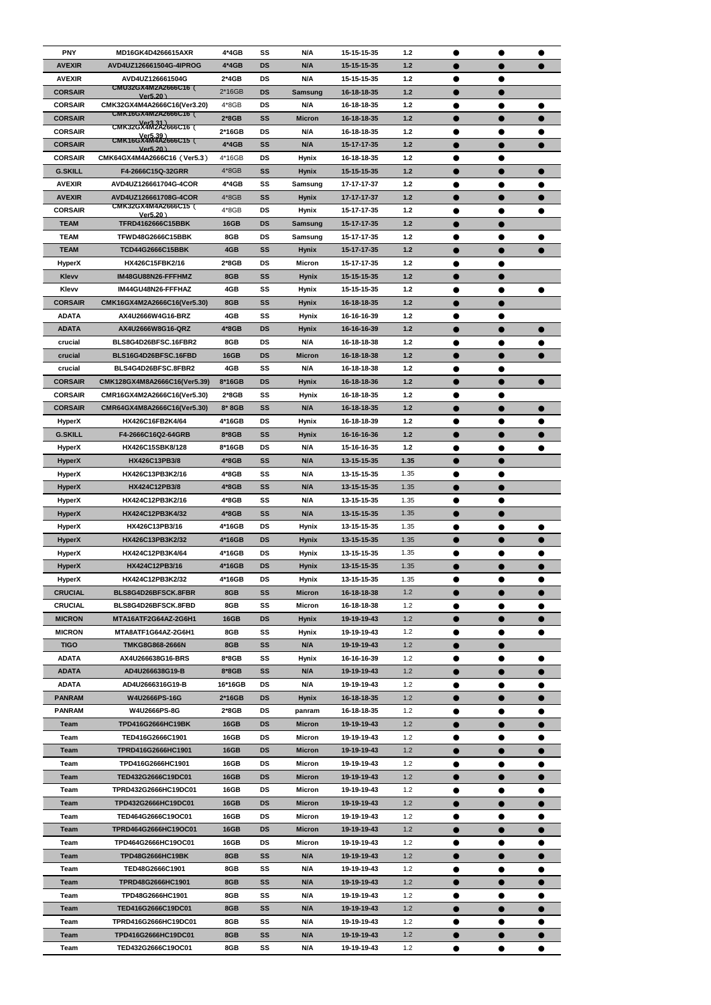| <b>PNY</b>                     | <b>MD16GK4D4266615AXR</b>                    | $4*4GB$          | SS              | N/A                          | 15-15-15-35                | 1.2          | ●         | ●         | ●         |
|--------------------------------|----------------------------------------------|------------------|-----------------|------------------------------|----------------------------|--------------|-----------|-----------|-----------|
| <b>AVEXIR</b>                  | AVD4UZ126661504G-4IPROG                      | $4*4GB$          | <b>DS</b>       | N/A                          | 15-15-15-35                | $1.2$        |           |           |           |
| <b>AVEXIR</b>                  | AVD4UZ126661504G                             | $2*4GB$          | <b>DS</b>       | N/A                          | 15-15-15-35                | $1.2$        |           |           |           |
| <b>CORSAIR</b>                 | <b>CMU32GX4M2A2666C16 (</b>                  | 2*16GB           | <b>DS</b>       | <b>Samsung</b>               | 16-18-18-35                | $1.2$        |           |           |           |
| <b>CORSAIR</b>                 | Ver $5.20$ )<br>CMK32GX4M4A2666C16(Ver3.20)  | $4*8GB$          | <b>DS</b>       | N/A                          | 16-18-18-35                | $1.2$        | ●         |           |           |
| <b>CORSAIR</b>                 | <b>CMK16GX4M2A2666C16 (</b>                  | $2*8GB$          | SS              | <b>Micron</b>                | 16-18-18-35                | 1.2          | $\bullet$ |           |           |
| <b>CORSAIR</b>                 | Ver3.31)<br>ب CMK32GX4M2A2666C16             | 2*16GB           | <b>DS</b>       | N/A                          | 16-18-18-35                | $1.2$        |           |           |           |
| <b>CORSAIR</b>                 | Ver5.39)<br>CMK16GX4M4A2666C15 (<br>Ver5.20) | $4*4GB$          | SS              | N/A                          | 15-17-17-35                | 1.2          |           |           |           |
| <b>CORSAIR</b>                 | CMK64GX4M4A2666C16 (Ver5.3)                  | 4*16GB           | <b>DS</b>       | <b>Hynix</b>                 | 16-18-18-35                | $1.2$        |           |           |           |
| <b>G.SKILL</b>                 | F4-2666C15Q-32GRR                            | 4*8GB            | SS              | <b>Hynix</b>                 | 15-15-15-35                | $1.2$        |           |           |           |
| <b>AVEXIR</b>                  | AVD4UZ126661704G-4COR                        | $4*4GB$          | SS              | Samsung                      | 17-17-17-37                | $1.2$        | $\bullet$ | ●         |           |
| <b>AVEXIR</b>                  | AVD4UZ126661708G-4COR                        | 4*8GB            | <b>SS</b>       | <b>Hynix</b>                 | 17-17-17-37                | $1.2$        |           |           |           |
| <b>CORSAIR</b>                 | CMK32GX4M4A2666C15 (<br>$Ver5.20$ )          | 4*8GB            | DS              | <b>Hynix</b>                 | 15-17-17-35                | $1.2$        |           |           |           |
| <b>TEAM</b>                    | <b>TFRD4162666C15BBK</b>                     | <b>16GB</b>      | <b>DS</b>       | Samsung                      | 15-17-17-35                | $1.2$        |           | ●         |           |
| <b>TEAM</b>                    | <b>TFWD48G2666C15BBK</b>                     | 8GB              | <b>DS</b>       | Samsung                      | 15-17-17-35                | $1.2$        | ●         |           |           |
| <b>TEAM</b>                    | TCD44G2666C15BBK                             | 4GB              | SS              | <b>Hynix</b>                 | 15-17-17-35                | 1.2          |           |           |           |
| <b>HyperX</b>                  | HX426C15FBK2/16                              | 2*8GB            | DS              | Micron                       | 15-17-17-35                | $1.2$        |           |           |           |
| <b>Klevv</b>                   | IM48GU88N26-FFFHMZ                           | 8GB              | SS              | <b>Hynix</b>                 | 15-15-15-35                | 1.2          |           |           |           |
| Klevv                          | IM44GU48N26-FFFHAZ                           | 4GB              | SS              | <b>Hynix</b>                 | 15-15-15-35                | $1.2$        |           |           |           |
| <b>CORSAIR</b>                 | CMK16GX4M2A2666C16(Ver5.30)                  | 8GB              | SS              | <b>Hynix</b>                 | 16-18-18-35                | $1.2$        |           |           |           |
| <b>ADATA</b>                   | AX4U2666W4G16-BRZ                            | 4GB              | SS              | <b>Hynix</b>                 | 16-16-16-39                | $1.2$        | $\bullet$ | ●         |           |
| <b>ADATA</b>                   | AX4U2666W8G16-QRZ                            | 4*8GB            | <b>DS</b>       | <b>Hynix</b>                 | 16-16-16-39                | $1.2$        |           |           |           |
| crucial                        | BLS8G4D26BFSC.16FBR2                         | 8GB              | DS              | N/A                          | 16-18-18-38                | $1.2$        | 0         |           |           |
| crucial                        | BLS16G4D26BFSC.16FBD                         | <b>16GB</b>      | <b>DS</b>       | <b>Micron</b>                | 16-18-18-38                | $1.2$        | e         |           |           |
| crucial                        | BLS4G4D26BFSC.8FBR2                          | 4GB              | SS              | N/A                          | 16-18-18-38                | $1.2$        | ●         |           |           |
| <b>CORSAIR</b>                 | CMK128GX4M8A2666C16(Ver5.39)                 | 8*16GB           | DS              | <b>Hynix</b>                 | 16-18-18-36                | 1.2          | $\bullet$ |           |           |
| <b>CORSAIR</b>                 | CMR16GX4M2A2666C16(Ver5.30)                  | $2*8GB$          | SS              | <b>Hynix</b>                 | 16-18-18-35                | $1.2$        |           |           |           |
| <b>CORSAIR</b>                 | CMR64GX4M8A2666C16(Ver5.30)                  | $8*8GB$          | SS              | N/A                          | 16-18-18-35                | 1.2          |           |           |           |
| <b>HyperX</b>                  | HX426C16FB2K4/64                             | 4*16GB           | DS              | Hynix                        | 16-18-18-39                | 1.2          |           |           |           |
| <b>G.SKILL</b>                 | F4-2666C16Q2-64GRB                           | 8*8GB            | SS              | <b>Hynix</b>                 | 16-16-16-36                | $1.2$        |           |           |           |
| <b>HyperX</b>                  | HX426C15SBK8/128                             | 8*16GB           | <b>DS</b>       | N/A                          | 15-16-16-35                | $1.2$        | $\bullet$ | ●         | ●         |
| <b>HyperX</b>                  | HX426C13PB3/8                                | $4*8GB$          | SS              | N/A                          | 13-15-15-35                | 1.35         |           |           |           |
| <b>HyperX</b>                  | HX426C13PB3K2/16                             | 4*8GB            | SS              | N/A                          | 13-15-15-35                | 1.35         | $\bullet$ |           |           |
| <b>HyperX</b>                  | HX424C12PB3/8                                | $4*8GB$          | SS              | N/A                          | 13-15-15-35                | 1.35         | ●         |           |           |
| <b>HyperX</b>                  | HX424C12PB3K2/16                             | $4*8GB$          | SS              | N/A                          | 13-15-15-35                | 1.35         |           |           |           |
| <b>HyperX</b>                  | HX424C12PB3K4/32                             | 4*8GB            | <b>SS</b>       | N/A                          | 13-15-15-35                | 1.35         | $\bullet$ | $\bullet$ |           |
| <b>HyperX</b>                  | HX426C13PB3/16<br>HX426C13PB3K2/32           | 4*16GB<br>4*16GB | DS<br><b>DS</b> | <b>Hynix</b><br><b>Hynix</b> | 13-15-15-35<br>13-15-15-35 | 1.35<br>1.35 | ●         |           |           |
| <b>HyperX</b><br><b>HyperX</b> | HX424C12PB3K4/64                             | 4*16GB           | DS              | <b>Hynix</b>                 | 13-15-15-35                | 1.35         |           |           |           |
| <b>HyperX</b>                  | HX424C12PB3/16                               | 4*16GB           | <b>DS</b>       | <b>Hynix</b>                 | 13-15-15-35                | 1.35         |           |           |           |
| HyperX                         | HX424C12PB3K2/32                             | 4*16GB           | DS              | <b>Hynix</b>                 | 13-15-15-35                | 1.35         | $\bullet$ | $\bullet$ | $\bullet$ |
| <b>CRUCIAL</b>                 | BLS8G4D26BFSCK.8FBR                          | 8GB              | SS              | <b>Micron</b>                | 16-18-18-38                | 1.2          |           |           |           |
| <b>CRUCIAL</b>                 | BLS8G4D26BFSCK.8FBD                          | 8GB              | SS              | <b>Micron</b>                | 16-18-18-38                | 1.2          | $\bullet$ |           |           |
| <b>MICRON</b>                  | MTA16ATF2G64AZ-2G6H1                         | <b>16GB</b>      | <b>DS</b>       | <b>Hynix</b>                 | 19-19-19-43                | 1.2          |           |           |           |
| <b>MICRON</b>                  | MTA8ATF1G64AZ-2G6H1                          | 8GB              | SS              | <b>Hynix</b>                 | 19-19-19-43                | 1.2          | ●         |           |           |
| <b>TIGO</b>                    | <b>TMKG8G868-2666N</b>                       | 8GB              | <b>SS</b>       | N/A                          | 19-19-19-43                | 1.2          | $\bullet$ | $\bullet$ |           |
| <b>ADATA</b>                   | AX4U266638G16-BRS                            | 8*8GB            | SS              | <b>Hynix</b>                 | 16-16-16-39                | 1.2          | ●         |           |           |
| <b>ADATA</b>                   | AD4U266638G19-B                              | 8*8GB            | <b>SS</b>       | N/A                          | 19-19-19-43                | 1.2          |           |           |           |
| <b>ADATA</b>                   | AD4U2666316G19-B                             | 16*16GB          | DS              | N/A                          | 19-19-19-43                | 1.2          |           |           |           |
| <b>PANRAM</b>                  | W4U2666PS-16G                                | $2*16GB$         | <b>DS</b>       | <b>Hynix</b>                 | 16-18-18-35                | 1.2          |           |           |           |
| <b>PANRAM</b>                  | W4U2666PS-8G                                 | $2*8GB$          | DS              | panram                       | 16-18-18-35                | 1.2          | $\bullet$ | ●         | ●         |
| Team                           | TPD416G2666HC19BK                            | <b>16GB</b>      | <b>DS</b>       | <b>Micron</b>                | 19-19-19-43                | 1.2          |           |           |           |
| Team                           | TED416G2666C1901                             | 16GB             | DS              | <b>Micron</b>                | 19-19-19-43                | 1.2          | $\bullet$ |           |           |
| Team                           | TPRD416G2666HC1901                           | <b>16GB</b>      | <b>DS</b>       | <b>Micron</b>                | 19-19-19-43                | $1.2$        | $\bullet$ | $\bullet$ |           |
| Team                           | TPD416G2666HC1901                            | 16GB             | DS              | <b>Micron</b>                | 19-19-19-43                | 1.2          | $\bullet$ |           |           |
| Team                           | TED432G2666C19DC01                           | <b>16GB</b>      | <b>DS</b>       | <b>Micron</b>                | 19-19-19-43                | 1.2          | $\bullet$ | ●         |           |
| Team                           | TPRD432G2666HC19DC01                         | <b>16GB</b>      | DS              | <b>Micron</b>                | 19-19-19-43                | 1.2          | ●         |           |           |
| Team                           | TPD432G2666HC19DC01                          | <b>16GB</b>      | <b>DS</b>       | <b>Micron</b>                | 19-19-19-43                | $1.2$        |           |           |           |
| Team                           | TED464G2666C19OC01                           | 16GB             | DS              | <b>Micron</b>                | 19-19-19-43                | 1.2          |           |           |           |
| Team                           | TPRD464G2666HC19OC01                         | 16GB             | <b>DS</b>       | <b>Micron</b>                | 19-19-19-43                | $1.2$        |           |           |           |
| Team                           | TPD464G2666HC19OC01                          | 16GB             | DS              | Micron                       | 19-19-19-43                | 1.2          | $\bullet$ | $\bullet$ |           |
| Team                           | <b>TPD48G2666HC19BK</b>                      | 8GB              | SS              | N/A                          | 19-19-19-43                | $1.2$        |           |           |           |
| Team                           | TED48G2666C1901                              | 8GB              | SS              | N/A                          | 19-19-19-43                | 1.2          |           |           |           |
| Team                           | TPRD48G2666HC1901                            | 8GB              | SS              | N/A                          | 19-19-19-43                | 1.2          |           | $\bullet$ |           |
| Team                           | TPD48G2666HC1901                             | 8GB              | SS              | N/A                          | 19-19-19-43                | 1.2          | $\bullet$ | $\bullet$ |           |
| Team                           | TED416G2666C19DC01                           | 8GB              | SS              | N/A                          | 19-19-19-43                | $1.2$        | $\bullet$ | $\bullet$ |           |
| Team                           | TPRD416G2666HC19DC01                         | 8GB              | SS              | N/A                          | 19-19-19-43                | 1.2          |           |           |           |
| Team                           | TPD416G2666HC19DC01                          | 8GB              | SS              | N/A                          | 19-19-19-43                | 1.2          | $\bullet$ |           |           |
| Team                           | TED432G2666C19OC01                           | 8GB              | SS              | N/A                          | 19-19-19-43                | $1.2$        | $\bullet$ | $\bullet$ |           |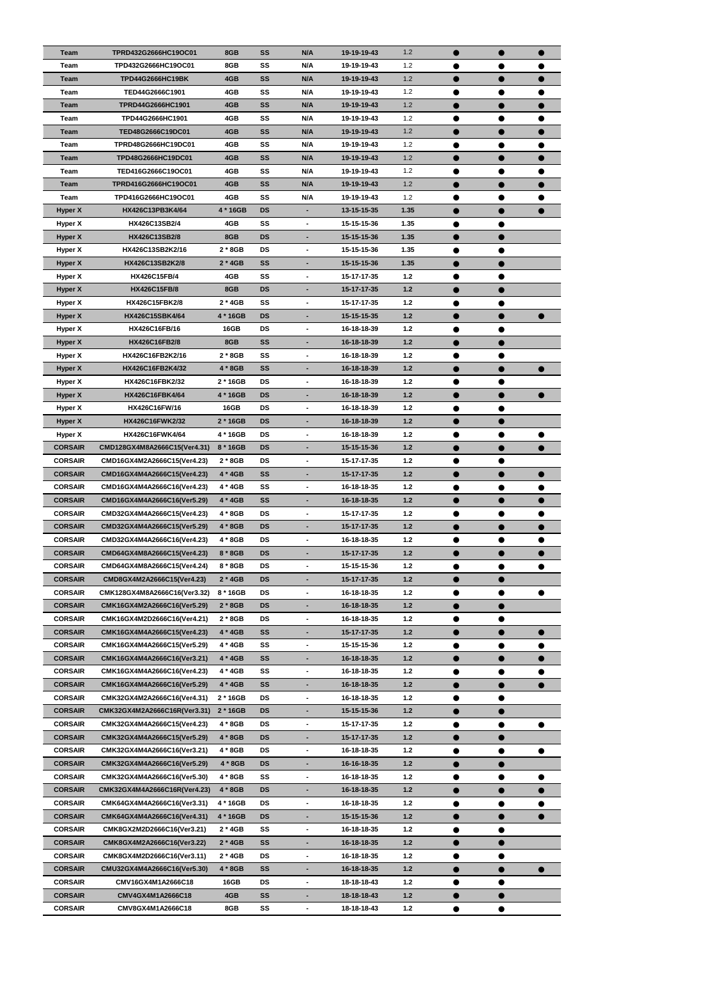| <b>Team</b>    | TPRD432G2666HC19OC01         | 8GB         | <b>SS</b> | N/A                          | 19-19-19-43 | 1.2   | $\bullet$ | $\bullet$ | $\bullet$      |
|----------------|------------------------------|-------------|-----------|------------------------------|-------------|-------|-----------|-----------|----------------|
| Team           | TPD432G2666HC19OC01          | 8GB         | SS        | N/A                          | 19-19-19-43 | $1.2$ |           | ●         |                |
| <b>Team</b>    | TPD44G2666HC19BK             | 4GB         | <b>SS</b> | N/A                          | 19-19-19-43 | 1.2   |           |           |                |
| Team           | TED44G2666C1901              | 4GB         | SS        | N/A                          | 19-19-19-43 | 1.2   | $\bullet$ | $\bullet$ |                |
| <b>Team</b>    | TPRD44G2666HC1901            | 4GB         | SS        | N/A                          | 19-19-19-43 | 1.2   | $\bullet$ | $\bullet$ |                |
|                |                              |             | SS        | N/A                          |             |       |           |           |                |
| Team           | TPD44G2666HC1901             | 4GB         |           |                              | 19-19-19-43 | 1.2   | $\bullet$ | $\bullet$ | ●              |
| Team           | TED48G2666C19DC01            | 4GB         | <b>SS</b> | N/A                          | 19-19-19-43 | 1.2   |           |           |                |
| Team           | TPRD48G2666HC19DC01          | 4GB         | SS        | N/A                          | 19-19-19-43 | 1.2   | ●         | $\bullet$ |                |
| Team           | TPD48G2666HC19DC01           | 4GB         | <b>SS</b> | N/A                          | 19-19-19-43 | 1.2   |           | $\bullet$ |                |
| Team           | TED416G2666C19OC01           | 4GB         | SS        | N/A                          | 19-19-19-43 | 1.2   | ●         | $\bullet$ |                |
| <b>Team</b>    | TPRD416G2666HC19OC01         | 4GB         | <b>SS</b> | N/A                          | 19-19-19-43 | 1.2   | $\bullet$ | $\bullet$ | $\bullet$      |
| Team           | TPD416G2666HC19OC01          | 4GB         | SS        | N/A                          | 19-19-19-43 | 1.2   | $\bullet$ | $\bullet$ |                |
| <b>Hyper X</b> | HX426C13PB3K4/64             | 4 * 16GB    | <b>DS</b> | $\blacksquare$               | 13-15-15-35 | 1.35  | $\bullet$ |           |                |
| Hyper X        | HX426C13SB2/4                | 4GB         | SS        | $\blacksquare$               | 15-15-15-36 | 1.35  | $\bullet$ | $\bullet$ |                |
| <b>Hyper X</b> | HX426C13SB2/8                | 8GB         | <b>DS</b> | ٠                            | 15-15-15-36 | 1.35  |           | $\bullet$ |                |
| Hyper X        | HX426C13SB2K2/16             | $2 * 8GB$   | <b>DS</b> | $\overline{\phantom{a}}$     | 15-15-15-36 | 1.35  | $\bullet$ | $\bullet$ |                |
| <b>Hyper X</b> | HX426C13SB2K2/8              | $2 * 4GB$   | <b>SS</b> |                              | 15-15-15-36 | 1.35  |           | $\bullet$ |                |
| Hyper X        | <b>HX426C15FB/4</b>          | 4GB         | SS        | $\blacksquare$               | 15-17-17-35 | $1.2$ | ●         |           |                |
| <b>Hyper X</b> | <b>HX426C15FB/8</b>          | 8GB         | <b>DS</b> |                              | 15-17-17-35 | $1.2$ |           |           |                |
| Hyper X        | HX426C15FBK2/8               | $2 * 4GB$   | SS        | $\overline{\phantom{a}}$     | 15-17-17-35 | $1.2$ |           |           |                |
|                |                              |             |           |                              |             |       |           |           |                |
| <b>Hyper X</b> | HX426C15SBK4/64              | 4 * 16GB    | <b>DS</b> | ٠                            | 15-15-15-35 | $1.2$ | $\bullet$ | $\bullet$ | $\blacksquare$ |
| <b>Hyper X</b> | HX426C16FB/16                | <b>16GB</b> | <b>DS</b> | $\blacksquare$               | 16-18-18-39 | $1.2$ | ●         | ●         |                |
| <b>Hyper X</b> | HX426C16FB2/8                | 8GB         | <b>SS</b> | ٠                            | 16-18-18-39 | $1.2$ |           |           |                |
| Hyper X        | HX426C16FB2K2/16             | $2 * 8GB$   | SS        | $\blacksquare$               | 16-18-18-39 | $1.2$ | ●         |           |                |
| <b>Hyper X</b> | HX426C16FB2K4/32             | 4 * 8GB     | SS        | ٠                            | 16-18-18-39 | $1.2$ |           | $\bullet$ |                |
| Hyper X        | HX426C16FBK2/32              | 2 * 16GB    | DS        | $\blacksquare$               | 16-18-18-39 | $1.2$ | $\bullet$ | $\bullet$ |                |
| <b>Hyper X</b> | HX426C16FBK4/64              | 4 * 16GB    | <b>DS</b> |                              | 16-18-18-39 | 1.2   |           |           |                |
| Hyper X        | HX426C16FW/16                | <b>16GB</b> | DS        | $\blacksquare$               | 16-18-18-39 | $1.2$ |           |           |                |
| Hyper X        | <b>HX426C16FWK2/32</b>       | 2 * 16GB    | DS        |                              | 16-18-18-39 | 1.2   |           |           |                |
| Hyper X        | HX426C16FWK4/64              | 4 * 16GB    | <b>DS</b> | $\overline{\phantom{a}}$     | 16-18-18-39 | $1.2$ |           |           |                |
| <b>CORSAIR</b> | CMD128GX4M8A2666C15(Ver4.31) | 8 * 16GB    | <b>DS</b> | ٠                            | 15-15-15-36 | $1.2$ | $\bullet$ | $\bullet$ | 0              |
| <b>CORSAIR</b> | CMD16GX4M2A2666C15(Ver4.23)  | 2 * 8GB     | DS        | $\blacksquare$               | 15-17-17-35 | $1.2$ |           | ●         |                |
| <b>CORSAIR</b> | CMD16GX4M4A2666C15(Ver4.23)  | 4 * 4GB     | SS        | ٠                            | 15-17-17-35 | $1.2$ |           |           |                |
| <b>CORSAIR</b> | CMD16GX4M4A2666C16(Ver4.23)  | 4 * 4GB     | SS        | $\overline{\phantom{a}}$     | 16-18-18-35 | $1.2$ |           |           |                |
|                |                              |             |           |                              |             |       | $\bullet$ | $\bullet$ |                |
| <b>CORSAIR</b> | CMD16GX4M4A2666C16(Ver5.29)  | 4 * 4GB     | <b>SS</b> | ٠                            | 16-18-18-35 | $1.2$ |           | $\bullet$ |                |
| <b>CORSAIR</b> | CMD32GX4M4A2666C15(Ver4.23)  | 4 * 8GB     | DS        | $\overline{\phantom{a}}$     | 15-17-17-35 | $1.2$ | $\bullet$ | $\bullet$ | 0              |
| <b>CORSAIR</b> | CMD32GX4M4A2666C15(Ver5.29)  | 4 * 8GB     | <b>DS</b> | ٠                            | 15-17-17-35 | $1.2$ |           | $\bullet$ |                |
| <b>CORSAIR</b> | CMD32GX4M4A2666C16(Ver4.23)  | 4 * 8GB     | DS        | $\blacksquare$               | 16-18-18-35 | $1.2$ | ●         |           |                |
| <b>CORSAIR</b> | CMD64GX4M8A2666C15(Ver4.23)  | 8 * 8GB     | <b>DS</b> | ٠                            | 15-17-17-35 | $1.2$ | $\bullet$ | $\bullet$ |                |
| <b>CORSAIR</b> | CMD64GX4M8A2666C15(Ver4.24)  | 8 * 8GB     | <b>DS</b> | $\overline{\phantom{a}}$     | 15-15-15-36 | $1.2$ | $\bullet$ | $\bullet$ |                |
| <b>CORSAIR</b> | CMD8GX4M2A2666C15(Ver4.23)   | 2 * 4GB     | <b>DS</b> | ٠                            | 15-17-17-35 | $1.2$ | $\bullet$ | $\bullet$ |                |
| <b>CORSAIR</b> | CMK128GX4M8A2666C16(Ver3.32) | 8 * 16GB    | DS        | $\blacksquare$               | 16-18-18-35 | $1.2$ | ●         | $\bullet$ |                |
| <b>CORSAIR</b> | CMK16GX4M2A2666C16(Ver5.29)  | $2 * 8GB$   | <b>DS</b> | ٠                            | 16-18-18-35 | 1.2   |           | $\bullet$ |                |
| <b>CORSAIR</b> | CMK16GX4M2D2666C16(Ver4.21)  | $2 * 8GB$   | <b>DS</b> | $\qquad \qquad \blacksquare$ | 16-18-18-35 | $1.2$ | 0         |           |                |
| <b>CORSAIR</b> | CMK16GX4M4A2666C15(Ver4.23)  | 4 * 4GB     | <b>SS</b> | ٠                            | 15-17-17-35 | $1.2$ |           | $\bullet$ |                |
| <b>CORSAIR</b> | CMK16GX4M4A2666C15(Ver5.29)  | 4 * 4GB     | SS        | $\overline{\phantom{a}}$     | 15-15-15-36 | $1.2$ | ●         | $\bullet$ | ●              |
| <b>CORSAIR</b> | CMK16GX4M4A2666C16(Ver3.21)  | 4 * 4GB     | <b>SS</b> | ٠                            | 16-18-18-35 | $1.2$ |           | $\bullet$ |                |
| <b>CORSAIR</b> | CMK16GX4M4A2666C16(Ver4.23)  | 4 * 4GB     | SS        | $\overline{a}$               | 16-18-18-35 | $1.2$ | 0         |           |                |
| <b>CORSAIR</b> | CMK16GX4M4A2666C16(Ver5.29)  | 4 * 4GB     | SS        | ٠                            | 16-18-18-35 | $1.2$ | $\bullet$ | $\bullet$ |                |
| <b>CORSAIR</b> | CMK32GX4M2A2666C16(Ver4.31)  | 2 * 16GB    | <b>DS</b> | $\blacksquare$               | 16-18-18-35 | $1.2$ | ●         | $\bullet$ |                |
| <b>CORSAIR</b> | CMK32GX4M2A2666C16R(Ver3.31) |             | <b>DS</b> | ٠                            | 15-15-15-36 | 1.2   |           |           |                |
|                |                              | $2 * 16GB$  |           |                              |             |       | $\bullet$ | $\bullet$ |                |
| <b>CORSAIR</b> | CMK32GX4M4A2666C15(Ver4.23)  | 4 * 8GB     | DS        | $\blacksquare$               | 15-17-17-35 | $1.2$ | ●         | $\bullet$ |                |
| <b>CORSAIR</b> | CMK32GX4M4A2666C15(Ver5.29)  | 4 * 8GB     | <b>DS</b> | ٠                            | 15-17-17-35 | $1.2$ |           |           |                |
| <b>CORSAIR</b> | CMK32GX4M4A2666C16(Ver3.21)  | 4 * 8GB     | <b>DS</b> | $\blacksquare$               | 16-18-18-35 | $1.2$ | Ð         |           |                |
| <b>CORSAIR</b> | CMK32GX4M4A2666C16(Ver5.29)  | 4 * 8GB     | <b>DS</b> | ٠                            | 16-16-18-35 | $1.2$ |           | $\bullet$ |                |
| <b>CORSAIR</b> | CMK32GX4M4A2666C16(Ver5.30)  | 4 * 8GB     | SS        | $\overline{\phantom{a}}$     | 16-18-18-35 | $1.2$ |           | $\bullet$ | D              |
| <b>CORSAIR</b> | CMK32GX4M4A2666C16R(Ver4.23) | 4 * 8GB     | DS        | -                            | 16-18-18-35 | $1.2$ |           |           |                |
| <b>CORSAIR</b> | CMK64GX4M4A2666C16(Ver3.31)  | 4 * 16GB    | DS        | $\blacksquare$               | 16-18-18-35 | $1.2$ |           | ●         |                |
| <b>CORSAIR</b> | CMK64GX4M4A2666C16(Ver4.31)  | 4 * 16GB    | <b>DS</b> |                              | 15-15-15-36 | $1.2$ | D         |           |                |
| <b>CORSAIR</b> | CMK8GX2M2D2666C16(Ver3.21)   | 2 * 4GB     | SS        | $\blacksquare$               | 16-18-18-35 | $1.2$ | $\bullet$ | ●         |                |
| <b>CORSAIR</b> | CMK8GX4M2A2666C16(Ver3.22)   | $2 * 4GB$   | <b>SS</b> | ٠                            | 16-18-18-35 | $1.2$ | $\bullet$ | $\bullet$ |                |
| <b>CORSAIR</b> | CMK8GX4M2D2666C16(Ver3.11)   | $2 * 4GB$   | <b>DS</b> | $\blacksquare$               | 16-18-18-35 | $1.2$ | $\bullet$ | $\bullet$ |                |
| <b>CORSAIR</b> | CMU32GX4M4A2666C16(Ver5.30)  | 4 * 8GB     | SS        | -                            | 16-18-18-35 | $1.2$ | 0         |           |                |
| <b>CORSAIR</b> | CMV16GX4M1A2666C18           | 16GB        | DS        | $\overline{\phantom{a}}$     | 18-18-18-43 | $1.2$ | $\bullet$ |           |                |
| <b>CORSAIR</b> | CMV4GX4M1A2666C18            | 4GB         | SS        | ٠                            | 18-18-18-43 | $1.2$ | $\bullet$ |           |                |
| <b>CORSAIR</b> | CMV8GX4M1A2666C18            | 8GB         | SS        | ۰                            | 18-18-18-43 | $1.2$ | $\bullet$ | $\bullet$ |                |
|                |                              |             |           |                              |             |       |           |           |                |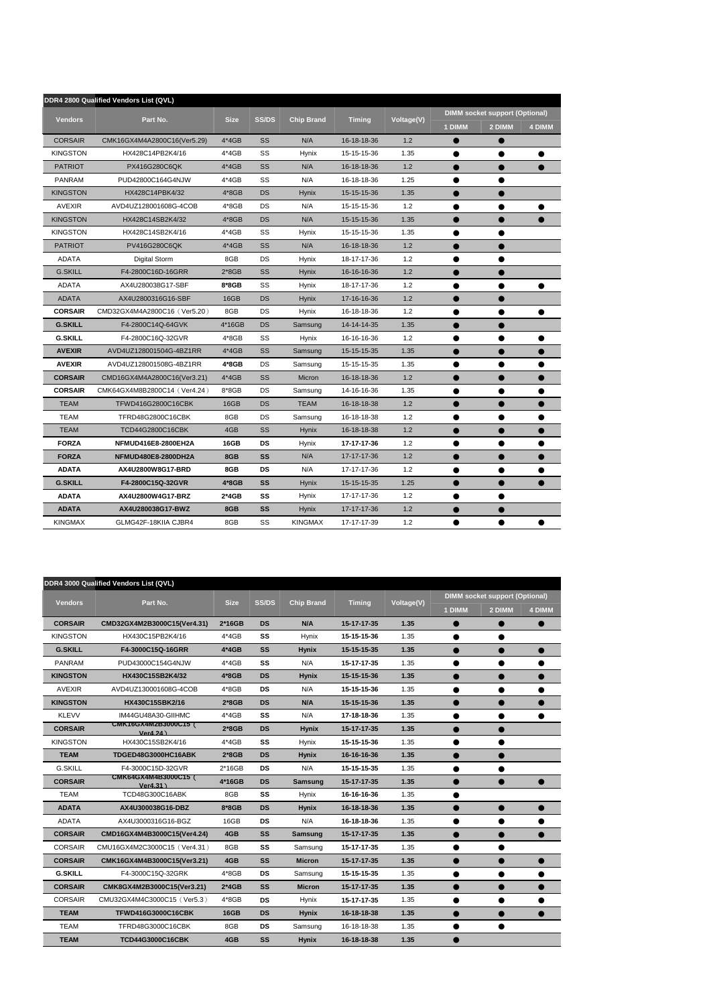|                 | DDR4 2800 Qualified Vendors List (QVL) |             |              |                   |               |                   |           |                                       |               |
|-----------------|----------------------------------------|-------------|--------------|-------------------|---------------|-------------------|-----------|---------------------------------------|---------------|
|                 |                                        |             |              |                   |               |                   |           | <b>DIMM socket support (Optional)</b> |               |
| <b>Vendors</b>  | Part No.                               | <b>Size</b> | <b>SS/DS</b> | <b>Chip Brand</b> | <b>Timing</b> | <b>Voltage(V)</b> | 1 DIMM    | 2 DIMM                                | <b>4 DIMM</b> |
| <b>CORSAIR</b>  | CMK16GX4M4A2800C16(Ver5.29)            | 4*4GB       | SS           | N/A               | 16-18-18-36   | 1.2               |           |                                       |               |
| <b>KINGSTON</b> | HX428C14PB2K4/16                       | $4*4GB$     | SS           | Hynix             | 15-15-15-36   | 1.35              | $\bullet$ | $\bullet$                             | ●             |
| <b>PATRIOT</b>  | PX416G280C6QK                          | $4*4GB$     | SS           | N/A               | 16-18-18-36   | 1.2               |           |                                       |               |
| <b>PANRAM</b>   | PUD42800C164G4NJW                      | 4*4GB       | SS           | N/A               | 16-18-18-36   | 1.25              | $\bullet$ | $\bullet$                             |               |
| <b>KINGSTON</b> | HX428C14PBK4/32                        | $4*8GB$     | <b>DS</b>    | <b>Hynix</b>      | 15-15-15-36   | 1.35              |           |                                       |               |
| <b>AVEXIR</b>   | AVD4UZ128001608G-4COB                  | $4*8GB$     | DS           | N/A               | 15-15-15-36   | 1.2               | $\bullet$ | $\bullet$                             |               |
| <b>KINGSTON</b> | HX428C14SB2K4/32                       | $4*8GB$     | <b>DS</b>    | N/A               | 15-15-15-36   | 1.35              |           |                                       |               |
| <b>KINGSTON</b> | HX428C14SB2K4/16                       | $4*4GB$     | SS           | <b>Hynix</b>      | 15-15-15-36   | 1.35              |           | 0                                     |               |
| <b>PATRIOT</b>  | PV416G280C6QK                          | $4*4GB$     | SS           | N/A               | 16-18-18-36   | 1.2               |           |                                       |               |
| <b>ADATA</b>    | Digital Storm                          | 8GB         | DS           | Hynix             | 18-17-17-36   | 1.2               |           | ●                                     |               |
| <b>G.SKILL</b>  | F4-2800C16D-16GRR                      | $2*8GB$     | SS           | <b>Hynix</b>      | 16-16-16-36   | 1.2               |           |                                       |               |
| <b>ADATA</b>    | AX4U280038G17-SBF                      | 8*8GB       | SS           | Hynix             | 18-17-17-36   | 1.2               |           |                                       |               |
| <b>ADATA</b>    | AX4U2800316G16-SBF                     | 16GB        | <b>DS</b>    | <b>Hynix</b>      | 17-16-16-36   | 1.2               | $\bullet$ | $\bullet$                             |               |
| <b>CORSAIR</b>  | CMD32GX4M4A2800C16 (Ver5.20)           | 8GB         | DS           | Hynix             | 16-18-18-36   | 1.2               | ●         | ●                                     |               |
| <b>G.SKILL</b>  | F4-2800C14Q-64GVK                      | 4*16GB      | <b>DS</b>    | Samsung           | 14-14-14-35   | 1.35              |           | ●                                     |               |
| <b>G.SKILL</b>  | F4-2800C16Q-32GVR                      | $4*8GB$     | SS           | Hynix             | 16-16-16-36   | 1.2               |           |                                       |               |
| <b>AVEXIR</b>   | AVD4UZ128001504G-4BZ1RR                | $4*4GB$     | <b>SS</b>    | Samsung           | 15-15-15-35   | 1.35              |           | $\bullet$                             |               |
| <b>AVEXIR</b>   | AVD4UZ128001508G-4BZ1RR                | 4*8GB       | DS           | Samsung           | 15-15-15-35   | 1.35              | ●         | $\bullet$                             |               |
| <b>CORSAIR</b>  | CMD16GX4M4A2800C16(Ver3.21)            | $4*4GB$     | SS           | <b>Micron</b>     | 16-18-18-36   | 1.2               |           | ●                                     |               |
| <b>CORSAIR</b>  | CMK64GX4M8B2800C14(Ver4.24)            | 8*8GB       | DS           | Samsung           | 14-16-16-36   | 1.35              | ●         | ●                                     |               |
| <b>TEAM</b>     | TFWD416G2800C16CBK                     | 16GB        | <b>DS</b>    | <b>TEAM</b>       | 16-18-18-38   | 1.2               | $\bullet$ | $\bullet$                             |               |
| <b>TEAM</b>     | TFRD48G2800C16CBK                      | 8GB         | DS           | Samsung           | 16-18-18-38   | 1.2               | $\bullet$ | $\bullet$                             | ●             |
| <b>TEAM</b>     | TCD44G2800C16CBK                       | 4GB         | SS           | <b>Hynix</b>      | 16-18-18-38   | 1.2               | $\bullet$ | $\bullet$                             |               |
| <b>FORZA</b>    | NFMUD416E8-2800EH2A                    | 16GB        | DS           | Hynix             | 17-17-17-36   | 1.2               | $\bullet$ | $\bullet$                             |               |
| <b>FORZA</b>    | NFMUD480E8-2800DH2A                    | 8GB         | SS           | N/A               | 17-17-17-36   | 1.2               | $\bullet$ | $\bullet$                             | ●             |
| <b>ADATA</b>    | AX4U2800W8G17-BRD                      | 8GB         | DS           | N/A               | 17-17-17-36   | 1.2               |           | $\bullet$                             |               |
| <b>G.SKILL</b>  | F4-2800C15Q-32GVR                      | $4*8GB$     | <b>SS</b>    | <b>Hynix</b>      | 15-15-15-35   | 1.25              |           | $\bullet$                             |               |
| <b>ADATA</b>    | AX4U2800W4G17-BRZ                      | $2*4GB$     | SS           | <b>Hynix</b>      | 17-17-17-36   | 1.2               |           |                                       |               |
| <b>ADATA</b>    | AX4U280038G17-BWZ                      | 8GB         | SS           | <b>Hynix</b>      | 17-17-17-36   | 1.2               |           |                                       |               |
| <b>KINGMAX</b>  | GLMG42F-18KIIA CJBR4                   | 8GB         | SS           | <b>KINGMAX</b>    | 17-17-17-39   | 1.2               | $\bullet$ | $\bullet$                             |               |

|                 | DDR4 3000 Qualified Vendors List (QVL) |             |              |                   |               |            |           |                                       |           |
|-----------------|----------------------------------------|-------------|--------------|-------------------|---------------|------------|-----------|---------------------------------------|-----------|
|                 | Part No.                               | <b>Size</b> | <b>SS/DS</b> | <b>Chip Brand</b> |               |            |           | <b>DIMM socket support (Optional)</b> |           |
| <b>Vendors</b>  |                                        |             |              |                   | <b>Timing</b> | Voltage(V) | 1 DIMM    | 2 DIMM                                | 4 DIMM    |
| <b>CORSAIR</b>  | CMD32GX4M2B3000C15(Ver4.31)            | $2*16GB$    | <b>DS</b>    | N/A               | 15-17-17-35   | 1.35       |           |                                       |           |
| <b>KINGSTON</b> | HX430C15PB2K4/16                       | $4*4GB$     | SS           | Hynix             | 15-15-15-36   | 1.35       |           |                                       |           |
| <b>G.SKILL</b>  | F4-3000C15Q-16GRR                      | $4*4GB$     | <b>SS</b>    | <b>Hynix</b>      | 15-15-15-35   | 1.35       |           |                                       |           |
| <b>PANRAM</b>   | PUD43000C154G4NJW                      | 4*4GB       | SS           | N/A               | 15-17-17-35   | 1.35       |           |                                       |           |
| <b>KINGSTON</b> | HX430C15SB2K4/32                       | $4*8GB$     | <b>DS</b>    | <b>Hynix</b>      | 15-15-15-36   | 1.35       |           |                                       |           |
| <b>AVEXIR</b>   | AVD4UZ130001608G-4COB                  | $4*8GB$     | <b>DS</b>    | N/A               | 15-15-15-36   | 1.35       |           |                                       |           |
| <b>KINGSTON</b> | HX430C15SBK2/16                        | $2*8GB$     | <b>DS</b>    | N/A               | 15-15-15-36   | 1.35       |           |                                       |           |
| <b>KLEVV</b>    | IM44GU48A30-GIIHMC                     | 4*4GB       | SS           | N/A               | 17-18-18-36   | 1.35       |           |                                       |           |
| <b>CORSAIR</b>  | CMK16GX4M2B3000C15(<br>Ver4.24)        | $2*8GB$     | <b>DS</b>    | <b>Hynix</b>      | 15-17-17-35   | 1.35       |           |                                       |           |
| <b>KINGSTON</b> | HX430C15SB2K4/16                       | 4*4GB       | SS           | Hynix             | 15-15-15-36   | 1.35       |           |                                       |           |
| <b>TEAM</b>     | TDGED48G3000HC16ABK                    | $2*8GB$     | <b>DS</b>    | <b>Hynix</b>      | 16-16-16-36   | 1.35       | $\bullet$ |                                       |           |
| <b>G.SKILL</b>  | F4-3000C15D-32GVR                      | $2*16GB$    | <b>DS</b>    | N/A               | 15-15-15-35   | 1.35       |           |                                       |           |
| <b>CORSAIR</b>  | CMK64GX4M4B3000C15 (<br>Ver4.31)       | 4*16GB      | <b>DS</b>    | <b>Samsung</b>    | 15-17-17-35   | 1.35       |           |                                       |           |
| <b>TEAM</b>     | TCD48G300C16ABK                        | 8GB         | SS           | Hynix             | 16-16-16-36   | 1.35       | ●         |                                       |           |
| <b>ADATA</b>    | AX4U300038G16-DBZ                      | $8*8GB$     | <b>DS</b>    | <b>Hynix</b>      | 16-18-18-36   | 1.35       |           |                                       |           |
| <b>ADATA</b>    | AX4U3000316G16-BGZ                     | 16GB        | <b>DS</b>    | N/A               | 16-18-18-36   | 1.35       |           |                                       |           |
| <b>CORSAIR</b>  | CMD16GX4M4B3000C15(Ver4.24)            | 4GB         | <b>SS</b>    | <b>Samsung</b>    | 15-17-17-35   | 1.35       |           |                                       |           |
| <b>CORSAIR</b>  | CMU16GX4M2C3000C15 (Ver4.31)           | 8GB         | SS           | Samsung           | 15-17-17-35   | 1.35       |           |                                       |           |
| <b>CORSAIR</b>  | CMK16GX4M4B3000C15(Ver3.21)            | 4GB         | SS           | <b>Micron</b>     | 15-17-17-35   | 1.35       |           |                                       | ●         |
| <b>G.SKILL</b>  | F4-3000C15Q-32GRK                      | $4*8GB$     | <b>DS</b>    | Samsung           | 15-15-15-35   | 1.35       | ●         | $\bullet$                             |           |
| <b>CORSAIR</b>  | CMK8GX4M2B3000C15(Ver3.21)             | $2*4GB$     | <b>SS</b>    | <b>Micron</b>     | 15-17-17-35   | 1.35       |           |                                       |           |
| <b>CORSAIR</b>  | CMU32GX4M4C3000C15 (Ver5.3)            | 4*8GB       | <b>DS</b>    | Hynix             | 15-17-17-35   | 1.35       |           |                                       |           |
| <b>TEAM</b>     | <b>TFWD416G3000C16CBK</b>              | <b>16GB</b> | <b>DS</b>    | <b>Hynix</b>      | 16-18-18-38   | 1.35       | $\bullet$ | $\bullet$                             | $\bullet$ |
| <b>TEAM</b>     | TFRD48G3000C16CBK                      | 8GB         | <b>DS</b>    | Samsung           | 16-18-18-38   | 1.35       |           |                                       |           |
| <b>TEAM</b>     | <b>TCD44G3000C16CBK</b>                | 4GB         | <b>SS</b>    | <b>Hynix</b>      | 16-18-18-38   | 1.35       |           |                                       |           |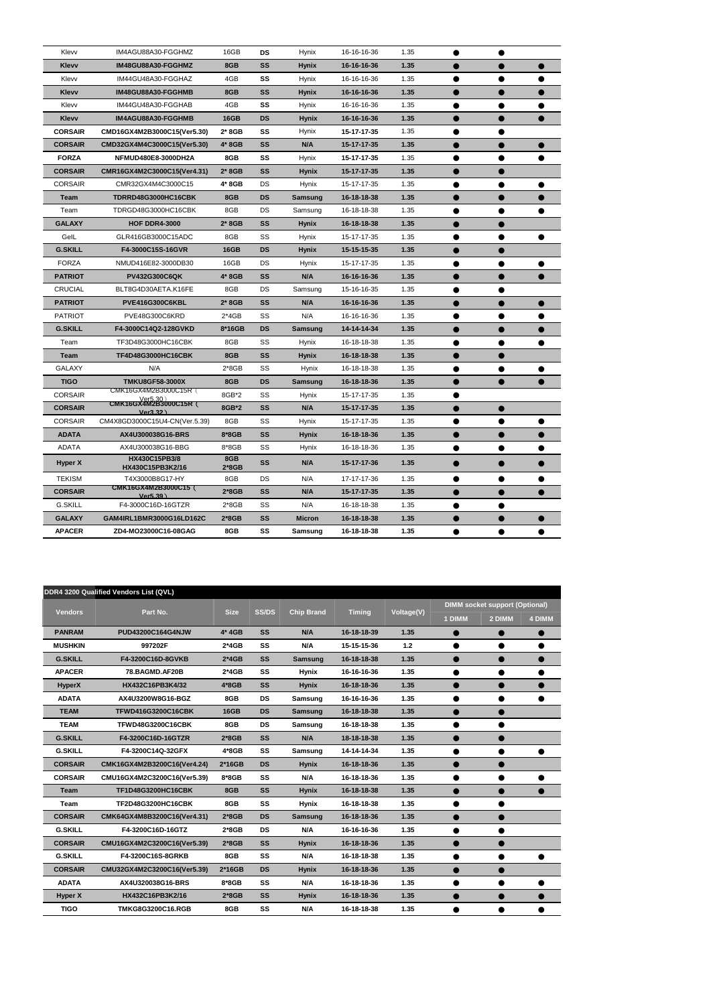| Klevv          | IM4AGU88A30-FGGHMZ                                                | 16GB           | <b>DS</b> | Hynix          | 16-16-16-36 | 1.35 |           | ●         |  |
|----------------|-------------------------------------------------------------------|----------------|-----------|----------------|-------------|------|-----------|-----------|--|
| Klevv          | IM48GU88A30-FGGHMZ                                                | 8GB            | SS        | <b>Hynix</b>   | 16-16-16-36 | 1.35 |           |           |  |
| Klevv          | IM44GU48A30-FGGHAZ                                                | 4GB            | SS        | <b>Hynix</b>   | 16-16-16-36 | 1.35 | ●         | ●         |  |
| <b>Klevv</b>   | IM48GU88A30-FGGHMB                                                | 8GB            | <b>SS</b> | <b>Hynix</b>   | 16-16-16-36 | 1.35 |           |           |  |
| Klevv          | IM44GU48A30-FGGHAB                                                | 4GB            | SS        | Hynix          | 16-16-16-36 | 1.35 |           |           |  |
| <b>Klevv</b>   | IM4AGU88A30-FGGHMB                                                | <b>16GB</b>    | <b>DS</b> | <b>Hynix</b>   | 16-16-16-36 | 1.35 |           |           |  |
| <b>CORSAIR</b> | CMD16GX4M2B3000C15(Ver5.30)                                       | $2*8GB$        | SS        | Hynix          | 15-17-17-35 | 1.35 |           |           |  |
| <b>CORSAIR</b> | CMD32GX4M4C3000C15(Ver5.30)                                       | $4*8GB$        | <b>SS</b> | N/A            | 15-17-17-35 | 1.35 | $\bullet$ | ●         |  |
| <b>FORZA</b>   | NFMUD480E8-3000DH2A                                               | 8GB            | SS        | Hynix          | 15-17-17-35 | 1.35 |           |           |  |
| <b>CORSAIR</b> | CMR16GX4M2C3000C15(Ver4.31)                                       | $2*8GB$        | SS        | <b>Hynix</b>   | 15-17-17-35 | 1.35 |           |           |  |
| <b>CORSAIR</b> | CMR32GX4M4C3000C15                                                | 4* 8GB         | DS        | Hynix          | 15-17-17-35 | 1.35 |           |           |  |
| <b>Team</b>    | TDRRD48G3000HC16CBK                                               | 8GB            | <b>DS</b> | <b>Samsung</b> | 16-18-18-38 | 1.35 |           |           |  |
| Team           | TDRGD48G3000HC16CBK                                               | 8GB            | DS        | Samsung        | 16-18-18-38 | 1.35 | ●         | ●         |  |
| <b>GALAXY</b>  | <b>HOF DDR4-3000</b>                                              | $2*8GB$        | <b>SS</b> | <b>Hynix</b>   | 16-18-18-38 | 1.35 |           |           |  |
| GelL           | GLR416GB3000C15ADC                                                | 8GB            | SS        | Hynix          | 15-17-17-35 | 1.35 |           |           |  |
| <b>G.SKILL</b> | F4-3000C15S-16GVR                                                 | <b>16GB</b>    | <b>DS</b> | <b>Hynix</b>   | 15-15-15-35 | 1.35 |           |           |  |
| <b>FORZA</b>   | NMUD416E82-3000DB30                                               | 16GB           | DS        | Hynix          | 15-17-17-35 | 1.35 |           |           |  |
| <b>PATRIOT</b> | <b>PV432G300C6QK</b>                                              | 4* 8GB         | <b>SS</b> | N/A            | 16-16-16-36 | 1.35 | ●         | ●         |  |
| <b>CRUCIAL</b> | BLT8G4D30AETA.K16FE                                               | 8GB            | DS        | Samsung        | 15-16-16-35 | 1.35 |           |           |  |
| <b>PATRIOT</b> | <b>PVE416G300C6KBL</b>                                            | 2* 8GB         | <b>SS</b> | N/A            | 16-16-16-36 | 1.35 |           |           |  |
| <b>PATRIOT</b> | PVE48G300C6KRD                                                    | $2*4GB$        | SS        | N/A            | 16-16-16-36 | 1.35 |           |           |  |
| <b>G.SKILL</b> | F4-3000C14Q2-128GVKD                                              | 8*16GB         | <b>DS</b> | <b>Samsung</b> | 14-14-14-34 | 1.35 |           |           |  |
| Team           | TF3D48G3000HC16CBK                                                | 8GB            | SS        | Hynix          | 16-18-18-38 | 1.35 | ●         | ●         |  |
| Team           | <b>TF4D48G3000HC16CBK</b>                                         | 8GB            | <b>SS</b> | <b>Hynix</b>   | 16-18-18-38 | 1.35 |           |           |  |
| <b>GALAXY</b>  | N/A                                                               | $2*8GB$        | SS        | <b>Hynix</b>   | 16-18-18-38 | 1.35 |           |           |  |
| <b>TIGO</b>    | <b>TMKU8GF58-3000X</b>                                            | 8GB            | <b>DS</b> | <b>Samsung</b> | 16-18-18-36 | 1.35 |           |           |  |
| <b>CORSAIR</b> | CMK16GX4M2B3000C15R (<br>Ver5.30)<br><b>CMK16GX4M2B3000C15R</b> ( | 8GB*2          | SS        | Hynix          | 15-17-17-35 | 1.35 |           |           |  |
| <b>CORSAIR</b> | Ver3.32)                                                          | 8GB*2          | <b>SS</b> | N/A            | 15-17-17-35 | 1.35 |           |           |  |
| <b>CORSAIR</b> | CM4X8GD3000C15U4-CN(Ver.5.39)                                     | 8GB            | SS        | Hynix          | 15-17-17-35 | 1.35 | $\bullet$ |           |  |
| <b>ADATA</b>   | AX4U300038G16-BRS                                                 | 8*8GB          | SS        | <b>Hynix</b>   | 16-18-18-36 | 1.35 | $\bullet$ | $\bullet$ |  |
| ADATA          | AX4U300038G16-BBG                                                 | 8*8GB          | SS        | Hynix          | 16-18-18-36 | 1.35 |           | $\bullet$ |  |
| Hyper X        | HX430C15PB3/8<br>HX430C15PB3K2/16                                 | 8GB<br>$2*8GB$ | <b>SS</b> | N/A            | 15-17-17-36 | 1.35 | $\bullet$ | $\bullet$ |  |
| <b>TEKISM</b>  | T4X3000B8G17-HY                                                   | 8GB            | DS        | N/A            | 17-17-17-36 | 1.35 | $\bullet$ | $\bullet$ |  |
| <b>CORSAIR</b> | CMK16GX4M2B3000C15(<br>Ver5.39)                                   | $2*8GB$        | <b>SS</b> | N/A            | 15-17-17-35 | 1.35 | $\bullet$ | $\bullet$ |  |
| <b>G.SKILL</b> | F4-3000C16D-16GTZR                                                | $2*8GB$        | SS        | N/A            | 16-18-18-38 | 1.35 | $\bullet$ | $\bullet$ |  |
| <b>GALAXY</b>  | GAM4IRL1BMR3000G16LD162C                                          | $2*8GB$        | SS        | <b>Micron</b>  | 16-18-18-38 | 1.35 | $\bullet$ | 0         |  |
| <b>APACER</b>  | ZD4-MO23000C16-08GAG                                              | 8GB            | SS        | Samsung        | 16-18-18-38 | 1.35 |           |           |  |
|                |                                                                   |                |           |                |             |      |           |           |  |

|                | DDR4 3200 Qualified Vendors List (QVL) |             |              |                   |               |            |           |                                       |        |
|----------------|----------------------------------------|-------------|--------------|-------------------|---------------|------------|-----------|---------------------------------------|--------|
| <b>Vendors</b> | Part No.                               | <b>Size</b> | <b>SS/DS</b> | <b>Chip Brand</b> | <b>Timing</b> | Voltage(V) |           | <b>DIMM socket support (Optional)</b> |        |
|                |                                        |             |              |                   |               |            | 1 DIMM    | 2 DIMM                                | 4 DIMM |
| <b>PANRAM</b>  | PUD43200C164G4NJW                      | $4*4GB$     | <b>SS</b>    | N/A               | 16-18-18-39   | 1.35       |           | $\bullet$                             |        |
| <b>MUSHKIN</b> | 997202F                                | $2*4GB$     | SS           | N/A               | 15-15-15-36   | 1.2        |           | $\bullet$                             |        |
| <b>G.SKILL</b> | F4-3200C16D-8GVKB                      | $2*4GB$     | SS           | <b>Samsung</b>    | 16-18-18-38   | 1.35       |           | $\bullet$                             |        |
| <b>APACER</b>  | 78.BAGMD.AF20B                         | $2*4GB$     | SS           | <b>Hynix</b>      | 16-16-16-36   | 1.35       |           | $\bullet$                             |        |
| <b>HyperX</b>  | HX432C16PB3K4/32                       | $4*8GB$     | <b>SS</b>    | <b>Hynix</b>      | 16-18-18-36   | 1.35       |           | $\bullet$                             |        |
| <b>ADATA</b>   | AX4U3200W8G16-BGZ                      | 8GB         | <b>DS</b>    | <b>Samsung</b>    | 16-16-16-36   | 1.35       |           | $\bullet$                             |        |
| <b>TEAM</b>    | <b>TFWD416G3200C16CBK</b>              | <b>16GB</b> | <b>DS</b>    | <b>Samsung</b>    | 16-18-18-38   | 1.35       |           |                                       |        |
| <b>TEAM</b>    | <b>TFWD48G3200C16CBK</b>               | 8GB         | <b>DS</b>    | <b>Samsung</b>    | 16-18-18-38   | 1.35       | $\bullet$ | $\bullet$                             |        |
| <b>G.SKILL</b> | F4-3200C16D-16GTZR                     | $2*8GB$     | <b>SS</b>    | N/A               | 18-18-18-38   | 1.35       | $\bullet$ | $\bullet$                             |        |
| <b>G.SKILL</b> | F4-3200C14Q-32GFX                      | $4*8GB$     | SS           | <b>Samsung</b>    | 14-14-14-34   | 1.35       |           | $\bullet$                             |        |
| <b>CORSAIR</b> | CMK16GX4M2B3200C16(Ver4.24)            | $2*16GB$    | <b>DS</b>    | <b>Hynix</b>      | 16-18-18-36   | 1.35       | $\bullet$ | $\bullet$                             |        |
| <b>CORSAIR</b> | CMU16GX4M2C3200C16(Ver5.39)            | 8*8GB       | SS           | N/A               | 16-18-18-36   | 1.35       |           | ●                                     |        |
| <b>Team</b>    | TF1D48G3200HC16CBK                     | 8GB         | <b>SS</b>    | <b>Hynix</b>      | 16-18-18-38   | 1.35       |           | $\bullet$                             |        |
| <b>Team</b>    | TF2D48G3200HC16CBK                     | 8GB         | SS           | <b>Hynix</b>      | 16-18-18-38   | 1.35       |           | $\bullet$                             |        |
| <b>CORSAIR</b> | CMK64GX4M8B3200C16(Ver4.31)            | $2*8GB$     | <b>DS</b>    | <b>Samsung</b>    | 16-18-18-36   | 1.35       |           | $\bullet$                             |        |
| <b>G.SKILL</b> | F4-3200C16D-16GTZ                      | $2*8GB$     | <b>DS</b>    | N/A               | 16-16-16-36   | 1.35       | $\bullet$ | $\bullet$                             |        |
| <b>CORSAIR</b> | CMU16GX4M2C3200C16(Ver5.39)            | $2*8GB$     | <b>SS</b>    | <b>Hynix</b>      | 16-18-18-36   | 1.35       |           | $\bullet$                             |        |
| <b>G.SKILL</b> | F4-3200C16S-8GRKB                      | 8GB         | SS           | N/A               | 16-18-18-38   | 1.35       |           |                                       |        |
| <b>CORSAIR</b> | CMU32GX4M2C3200C16(Ver5.39)            | $2*16GB$    | <b>DS</b>    | <b>Hynix</b>      | 16-18-18-36   | 1.35       |           | $\bullet$                             |        |
| <b>ADATA</b>   | AX4U320038G16-BRS                      | $8*8GB$     | SS           | N/A               | 16-18-18-36   | 1.35       | ●         |                                       |        |
| Hyper X        | HX432C16PB3K2/16                       | $2*8GB$     | <b>SS</b>    | <b>Hynix</b>      | 16-18-18-36   | 1.35       | $\bullet$ | $\bullet$                             | ●      |
| <b>TIGO</b>    | <b>TMKG8G3200C16.RGB</b>               | 8GB         | SS           | N/A               | 16-18-18-38   | 1.35       |           |                                       |        |